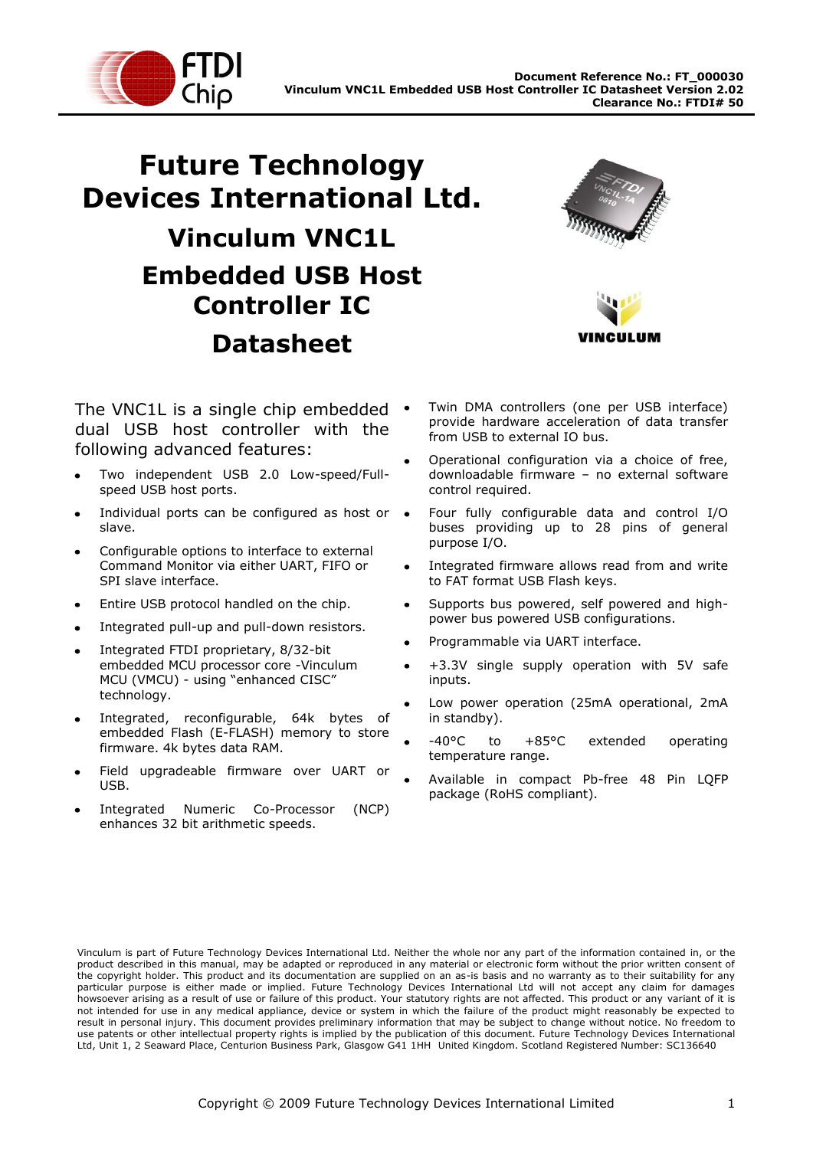

# **Future Technology Devices International Ltd. Vinculum VNC1L Embedded USB Host Controller IC Datasheet**



**NCULUM** 

The VNC1L is a single chip embedded . dual USB host controller with the following advanced features:

- Two independent USB 2.0 Low-speed/Fullspeed USB host ports.
- Individual ports can be configured as host or slave.
- Configurable options to interface to external Command Monitor via either UART, FIFO or SPI slave interface.
- Entire USB protocol handled on the chip.
- Integrated pull-up and pull-down resistors.
- Integrated FTDI proprietary, 8/32-bit embedded MCU processor core -Vinculum MCU (VMCU) - using "enhanced CISC" technology.
- Integrated, reconfigurable, 64k bytes of embedded Flash (E-FLASH) memory to store firmware. 4k bytes data RAM.
- Field upgradeable firmware over UART or USB.
- Integrated Numeric Co-Processor (NCP) enhances 32 bit arithmetic speeds.
- Twin DMA controllers (one per USB interface) provide hardware acceleration of data transfer from USB to external IO bus.
- Operational configuration via a choice of free, downloadable firmware – no external software control required.
- Four fully configurable data and control I/O buses providing up to 28 pins of general purpose I/O.
- Integrated firmware allows read from and write to FAT format USB Flash keys.
- Supports bus powered, self powered and highpower bus powered USB configurations.
- Programmable via UART interface.
- +3.3V single supply operation with 5V safe inputs.
- Low power operation (25mA operational, 2mA in standby).
- -40°C to +85°C extended operating temperature range.
- Available in compact Pb-free 48 Pin LQFP package (RoHS compliant).

Vinculum is part of Future Technology Devices International Ltd. Neither the whole nor any part of the information contained in, or the product described in this manual, may be adapted or reproduced in any material or electronic form without the prior written consent of the copyright holder. This product and its documentation are supplied on an as-is basis and no warranty as to their suitability for any particular purpose is either made or implied. Future Technology Devices International Ltd will not accept any claim for damages howsoever arising as a result of use or failure of this product. Your statutory rights are not affected. This product or any variant of it is not intended for use in any medical appliance, device or system in which the failure of the product might reasonably be expected to result in personal injury. This document provides preliminary information that may be subject to change without notice. No freedom to use patents or other intellectual property rights is implied by the publication of this document. Future Technology Devices International Ltd, Unit 1, 2 Seaward Place, Centurion Business Park, Glasgow G41 1HH United Kingdom. Scotland Registered Number: SC136640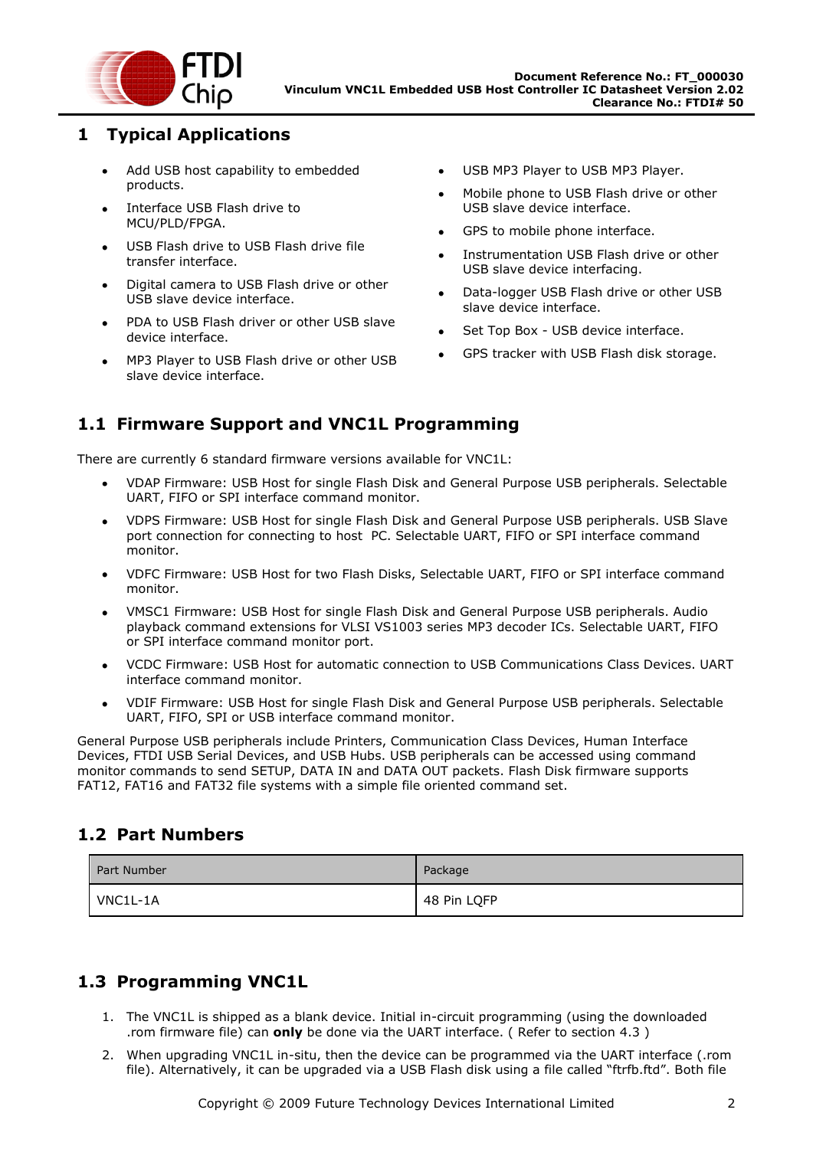

### <span id="page-1-0"></span>**1 Typical Applications**

- Add USB host capability to embedded products.
- Interface USB Flash drive to  $\bullet$ MCU/PLD/FPGA.
- USB Flash drive to USB Flash drive file  $\bullet$ transfer interface.
- Digital camera to USB Flash drive or other  $\bullet$ USB slave device interface.
- PDA to USB Flash driver or other USB slave device interface.
- MP3 Player to USB Flash drive or other USB  $\bullet$ slave device interface.
- USB MP3 Player to USB MP3 Player.  $\bullet$
- Mobile phone to USB Flash drive or other USB slave device interface.
- GPS to mobile phone interface.
- Instrumentation USB Flash drive or other USB slave device interfacing.
- Data-logger USB Flash drive or other USB slave device interface.
- Set Top Box USB device interface.
- GPS tracker with USB Flash disk storage.  $\bullet$

### <span id="page-1-1"></span>**1.1 Firmware Support and VNC1L Programming**

There are currently 6 standard firmware versions available for VNC1L:

- VDAP Firmware: USB Host for single Flash Disk and General Purpose USB peripherals. Selectable UART, FIFO or SPI interface command monitor.
- VDPS Firmware: USB Host for single Flash Disk and General Purpose USB peripherals. USB Slave port connection for connecting to host PC. Selectable UART, FIFO or SPI interface command monitor.
- VDFC Firmware: USB Host for two Flash Disks, Selectable UART, FIFO or SPI interface command monitor.
- VMSC1 Firmware: USB Host for single Flash Disk and General Purpose USB peripherals. Audio playback command extensions for VLSI VS1003 series MP3 decoder ICs. Selectable UART, FIFO or SPI interface command monitor port.
- VCDC Firmware: USB Host for automatic connection to USB Communications Class Devices. UART interface command monitor.
- VDIF Firmware: USB Host for single Flash Disk and General Purpose USB peripherals. Selectable  $\bullet$ UART, FIFO, SPI or USB interface command monitor.

General Purpose USB peripherals include Printers, Communication Class Devices, Human Interface Devices, FTDI USB Serial Devices, and USB Hubs. USB peripherals can be accessed using command monitor commands to send SETUP, DATA IN and DATA OUT packets. Flash Disk firmware supports FAT12, FAT16 and FAT32 file systems with a simple file oriented command set.

### <span id="page-1-2"></span>**1.2 Part Numbers**

| Part Number | Package     |
|-------------|-------------|
| VNC1L-1A    | 48 Pin LQFP |

# <span id="page-1-3"></span>**1.3 Programming VNC1L**

- 1. The VNC1L is shipped as a blank device. Initial in-circuit programming (using the downloaded .rom firmware file) can **only** be done via the UART interface. ( Refer to section [4.3](#page-12-0) )
- 2. When upgrading VNC1L in-situ, then the device can be programmed via the UART interface (.rom file). Alternatively, it can be upgraded via a USB Flash disk using a file called "ftrfb.ftd". Both file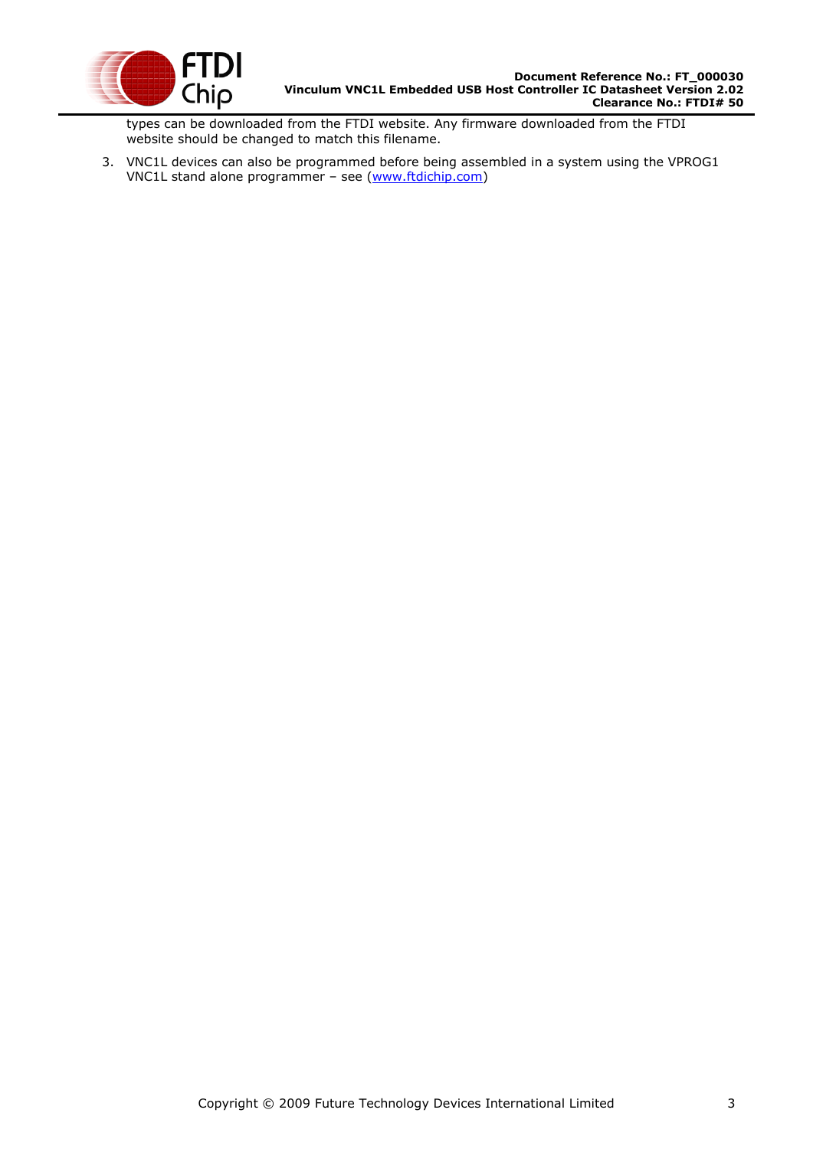

types can be downloaded from the FTDI website. Any firmware downloaded from the FTDI website should be changed to match this filename.

3. VNC1L devices can also be programmed before being assembled in a system using the VPROG1 VNC1L stand alone programmer – see [\(www.ftdichip.com\)](http://www.ftdichip.com/)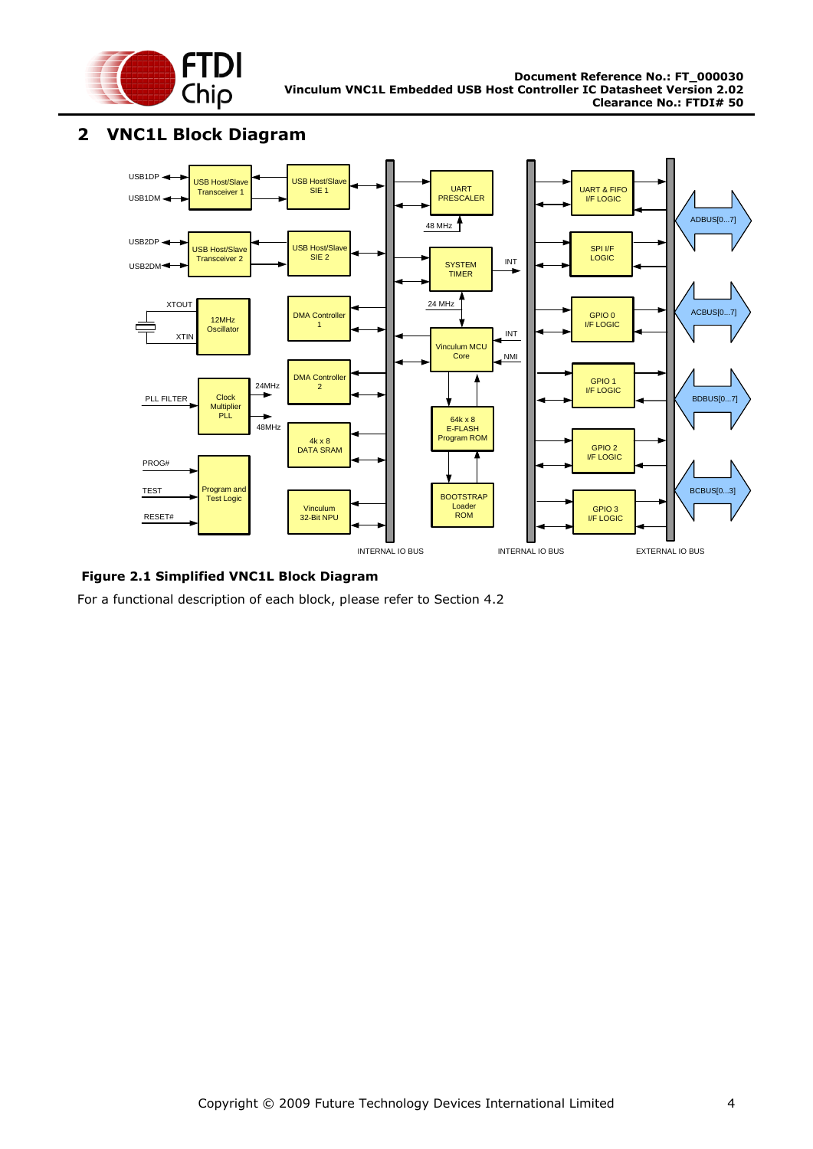

#### <span id="page-3-2"></span><span id="page-3-0"></span>**2 VNC1L Block Diagram**



<span id="page-3-1"></span>**Figure 2.1 Simplified VNC1L Block Diagram**

For a functional description of each block, please refer to Section [4.2](#page-11-0)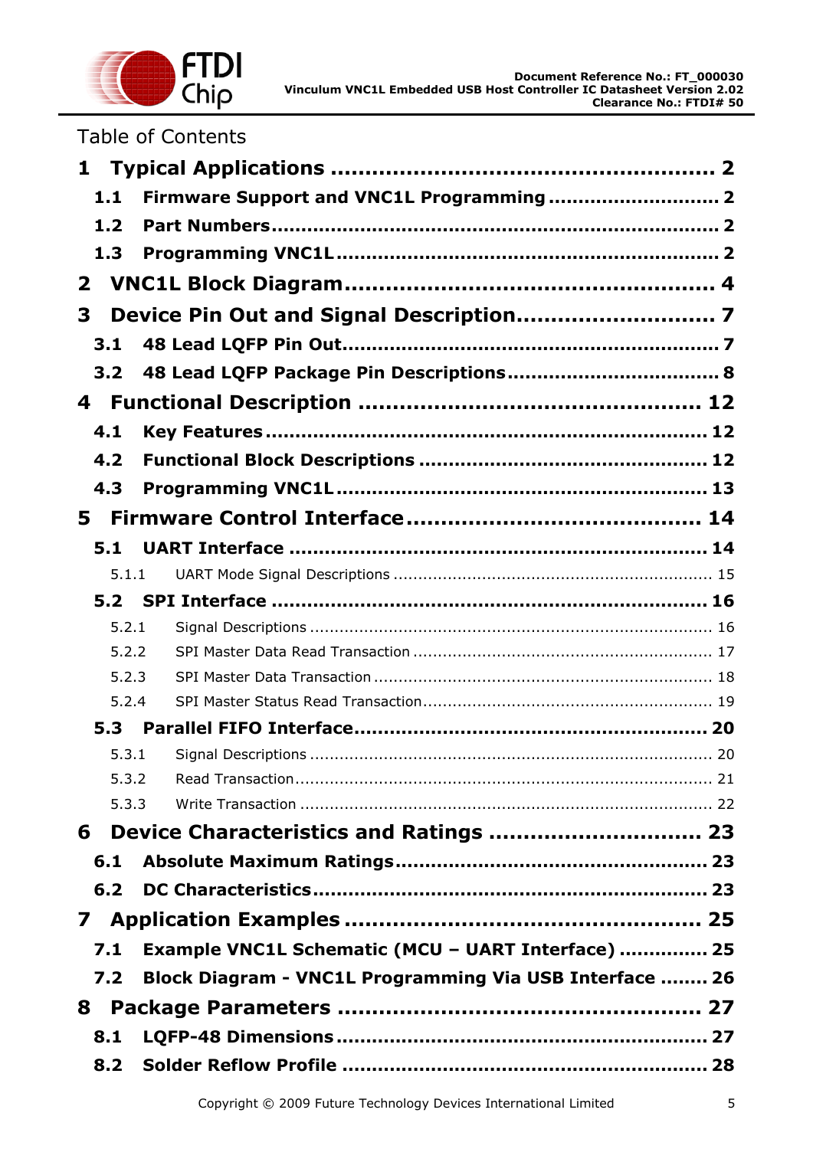

|  |  |  |  | <b>Table of Contents</b> |  |
|--|--|--|--|--------------------------|--|
|--|--|--|--|--------------------------|--|

| $\mathbf{1}$ |       |                                                         |
|--------------|-------|---------------------------------------------------------|
|              | 1.1   | Firmware Support and VNC1L Programming 2                |
|              | 1.2   |                                                         |
|              | 1.3   |                                                         |
| $\mathbf{2}$ |       |                                                         |
| 3            |       |                                                         |
|              | 3.1   |                                                         |
|              | 3.2   |                                                         |
| 4            |       |                                                         |
|              |       |                                                         |
|              | 4.1   |                                                         |
|              | 4.2   |                                                         |
|              | 4.3   |                                                         |
| 5.           |       |                                                         |
|              | 5.1   |                                                         |
|              | 5.1.1 |                                                         |
|              | 5.2   |                                                         |
|              | 5.2.1 |                                                         |
|              | 5.2.2 |                                                         |
|              | 5.2.3 |                                                         |
|              | 5.2.4 |                                                         |
|              | 5.3   |                                                         |
|              | 5.3.1 |                                                         |
|              | 5.3.2 |                                                         |
|              | 5.3.3 |                                                         |
| 6            |       | Device Characteristics and Ratings  23                  |
|              | 6.1   |                                                         |
|              | 6.2   |                                                         |
| $\mathbf{7}$ |       |                                                         |
|              | 7.1   | Example VNC1L Schematic (MCU - UART Interface)  25      |
|              | 7.2   | Block Diagram - VNC1L Programming Via USB Interface  26 |
| 8            |       |                                                         |
|              | 8.1   |                                                         |
|              | 8.2   |                                                         |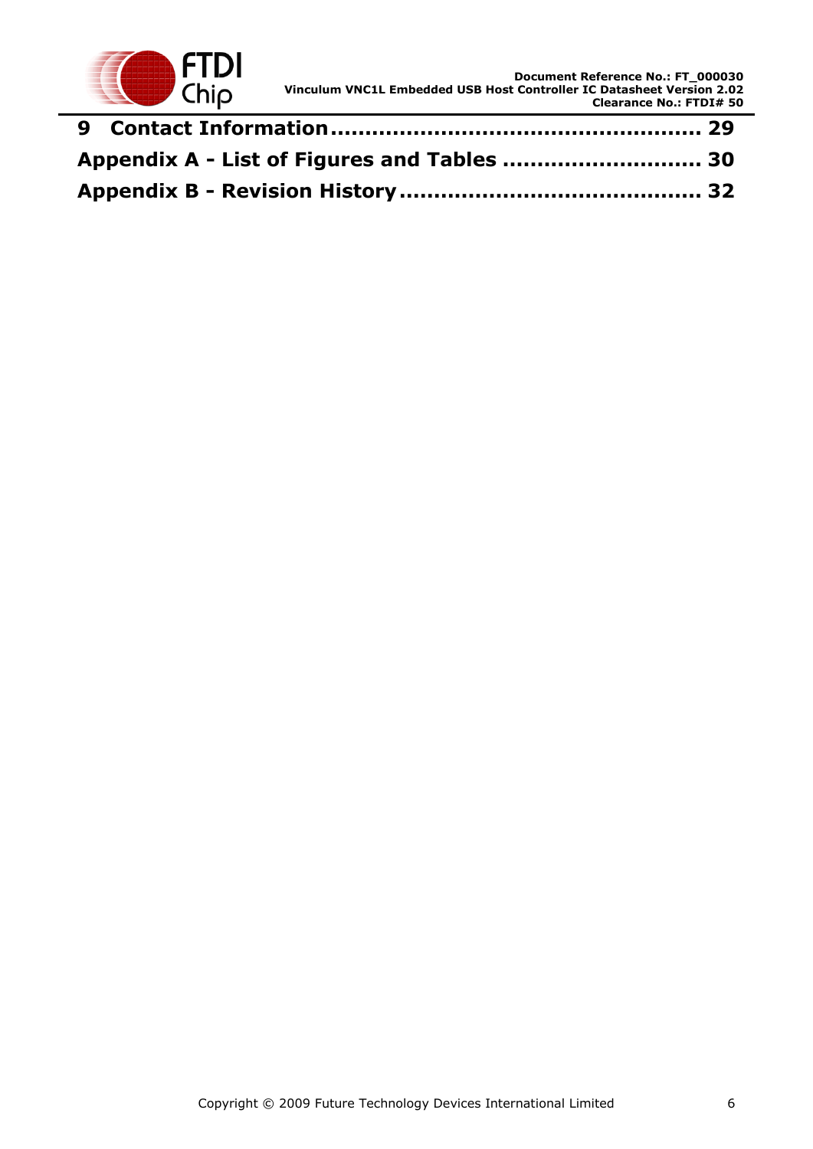

| Appendix A - List of Figures and Tables  30 |  |
|---------------------------------------------|--|
|                                             |  |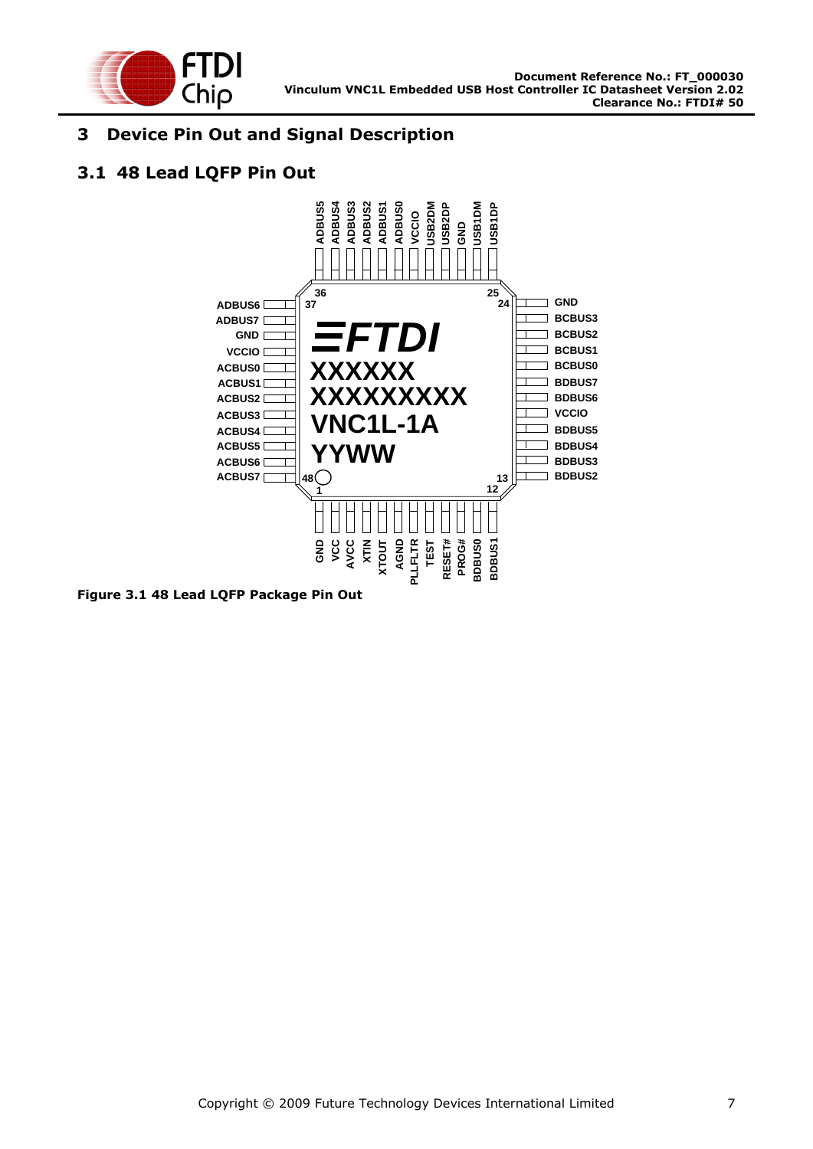

### <span id="page-6-0"></span>**3 Device Pin Out and Signal Description**

### <span id="page-6-1"></span>**3.1 48 Lead LQFP Pin Out**



<span id="page-6-2"></span>**Figure 3.1 48 Lead LQFP Package Pin Out**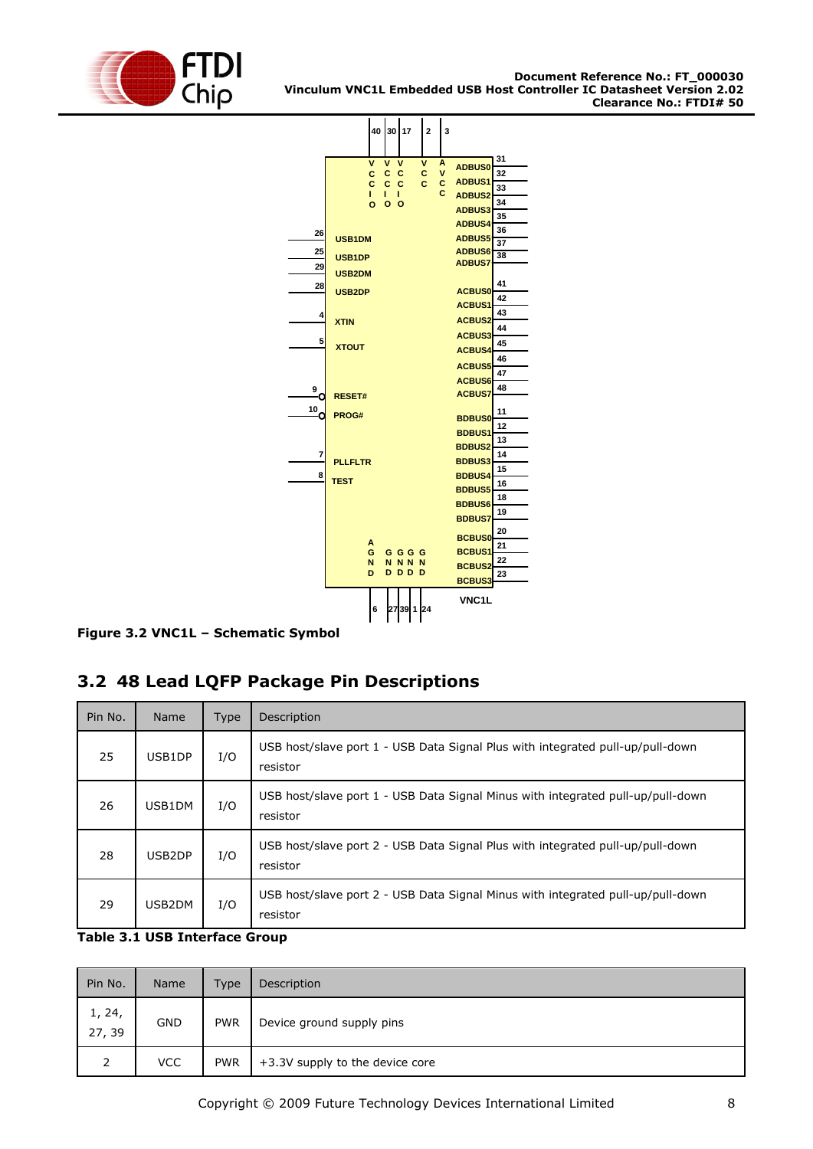



<span id="page-7-1"></span>**Figure 3.2 VNC1L – Schematic Symbol**

# <span id="page-7-0"></span>**3.2 48 Lead LQFP Package Pin Descriptions**

| Pin No. | <b>Name</b> | Type | Description                                                                                 |  |
|---------|-------------|------|---------------------------------------------------------------------------------------------|--|
| 25      | USB1DP      | I/O  | USB host/slave port 1 - USB Data Signal Plus with integrated pull-up/pull-down<br>resistor  |  |
| 26      | USB1DM      | I/O  | USB host/slave port 1 - USB Data Signal Minus with integrated pull-up/pull-down<br>resistor |  |
| 28      | USB2DP      | I/O  | USB host/slave port 2 - USB Data Signal Plus with integrated pull-up/pull-down<br>resistor  |  |
| 29      | USB2DM      | I/O  | USB host/slave port 2 - USB Data Signal Minus with integrated pull-up/pull-down<br>resistor |  |

#### <span id="page-7-2"></span>**Table 3.1 USB Interface Group**

| Pin No.          | Name       | Type       | Description                     |
|------------------|------------|------------|---------------------------------|
| 1, 24,<br>27, 39 | <b>GND</b> | <b>PWR</b> | Device ground supply pins       |
| 2                | <b>VCC</b> | <b>PWR</b> | +3.3V supply to the device core |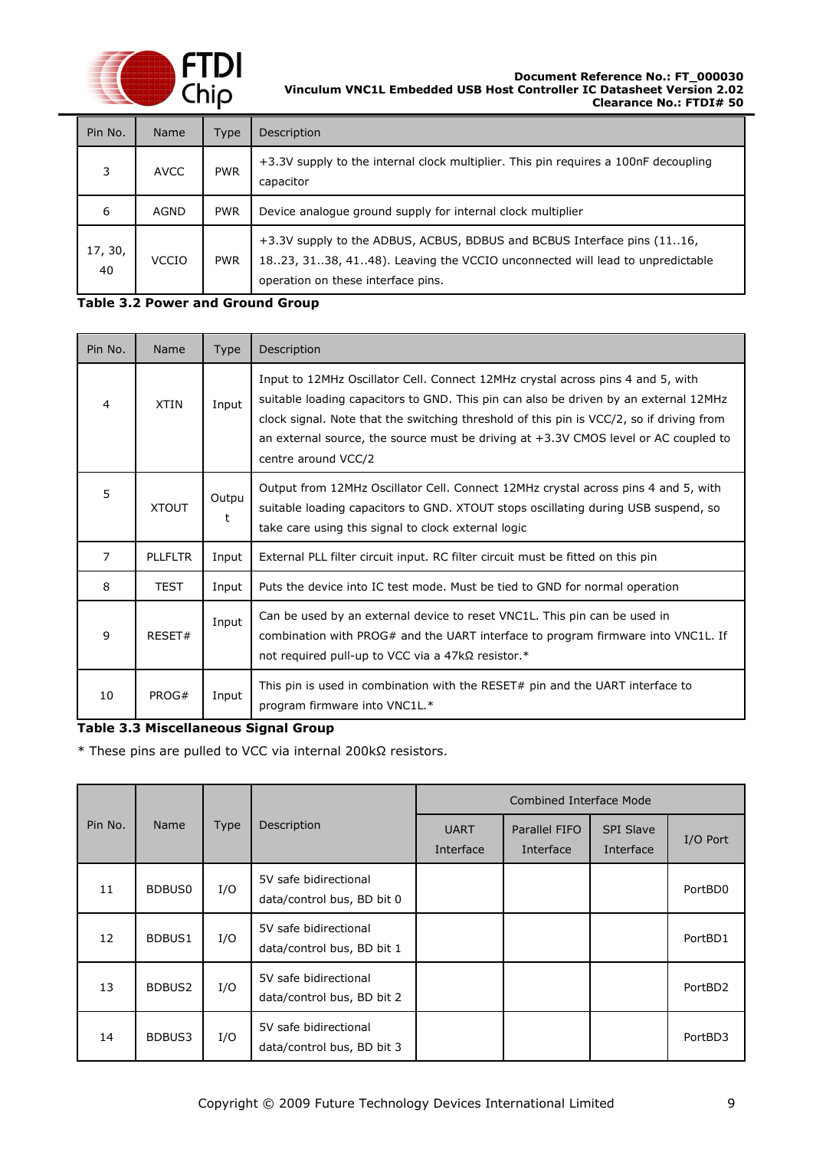

#### **Document Reference No.: FT\_000030 Vinculum VNC1L Embedded USB Host Controller IC Datasheet Version 2.02 Clearance No.: FTDI# 50**

| Pin No.                                     | <b>Name</b> | Type       | Description                                                                                                                                                                                  |  |  |
|---------------------------------------------|-------------|------------|----------------------------------------------------------------------------------------------------------------------------------------------------------------------------------------------|--|--|
| 3                                           | <b>AVCC</b> | <b>PWR</b> | +3.3V supply to the internal clock multiplier. This pin requires a 100nF decoupling<br>capacitor                                                                                             |  |  |
| 6                                           | <b>AGND</b> | <b>PWR</b> | Device analogue ground supply for internal clock multiplier                                                                                                                                  |  |  |
| 17, 30,<br><b>VCCIO</b><br><b>PWR</b><br>40 |             |            | +3.3V supply to the ADBUS, ACBUS, BDBUS and BCBUS Interface pins (1116,<br>1823, 3138, 4148). Leaving the VCCIO unconnected will lead to unpredictable<br>operation on these interface pins. |  |  |

#### <span id="page-8-0"></span>**Table 3.2 Power and Ground Group**

| Pin No.        | Name           | Type       | Description                                                                                                                                                                                                                                                                                                                                                                         |  |
|----------------|----------------|------------|-------------------------------------------------------------------------------------------------------------------------------------------------------------------------------------------------------------------------------------------------------------------------------------------------------------------------------------------------------------------------------------|--|
| $\overline{4}$ | <b>XTIN</b>    | Input      | Input to 12MHz Oscillator Cell. Connect 12MHz crystal across pins 4 and 5, with<br>suitable loading capacitors to GND. This pin can also be driven by an external 12MHz<br>clock signal. Note that the switching threshold of this pin is VCC/2, so if driving from<br>an external source, the source must be driving at $+3.3V$ CMOS level or AC coupled to<br>centre around VCC/2 |  |
| 5              | <b>XTOUT</b>   | Outpu<br>t | Output from 12MHz Oscillator Cell. Connect 12MHz crystal across pins 4 and 5, with<br>suitable loading capacitors to GND. XTOUT stops oscillating during USB suspend, so<br>take care using this signal to clock external logic                                                                                                                                                     |  |
| $\overline{7}$ | <b>PLLFLTR</b> | Input      | External PLL filter circuit input. RC filter circuit must be fitted on this pin                                                                                                                                                                                                                                                                                                     |  |
| 8              | <b>TEST</b>    | Input      | Puts the device into IC test mode. Must be tied to GND for normal operation                                                                                                                                                                                                                                                                                                         |  |
| 9              | RESET#         | Input      | Can be used by an external device to reset VNC1L. This pin can be used in<br>combination with PROG# and the UART interface to program firmware into VNC1L. If<br>not required pull-up to VCC via a $47k\Omega$ resistor.*                                                                                                                                                           |  |
| 10             | PROG#          | Input      | This pin is used in combination with the RESET# pin and the UART interface to<br>program firmware into VNC1L.*                                                                                                                                                                                                                                                                      |  |

#### <span id="page-8-1"></span>**Table 3.3 Miscellaneous Signal Group**

\* These pins are pulled to VCC via internal 200kΩ resistors.

|         |                    |             |                                                     |                          | <b>Combined Interface Mode</b> |                               |          |
|---------|--------------------|-------------|-----------------------------------------------------|--------------------------|--------------------------------|-------------------------------|----------|
| Pin No. | <b>Name</b>        | <b>Type</b> | Description                                         | <b>UART</b><br>Interface | Parallel FIFO<br>Interface     | <b>SPI Slave</b><br>Interface | I/O Port |
| 11      | BDBUS0             | I/O         | 5V safe bidirectional<br>data/control bus, BD bit 0 |                          |                                |                               | PortBD0  |
| 12      | BDBUS1             | I/O         | 5V safe bidirectional<br>data/control bus, BD bit 1 |                          |                                |                               | PortBD1  |
| 13      | BDBUS <sub>2</sub> | I/O         | 5V safe bidirectional<br>data/control bus, BD bit 2 |                          |                                |                               | PortBD2  |
| 14      | BDBUS3             | I/O         | 5V safe bidirectional<br>data/control bus, BD bit 3 |                          |                                |                               | PortBD3  |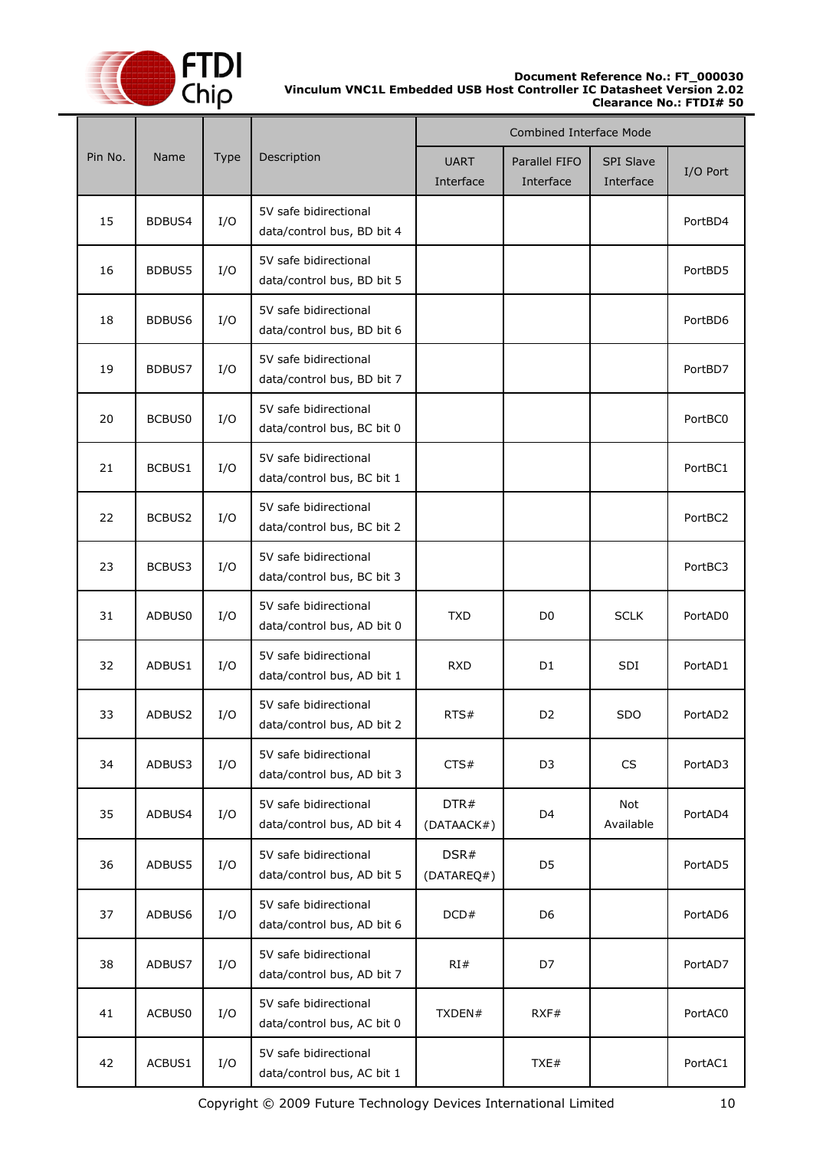

#### **Document Reference No.: FT\_000030 Vinculum VNC1L Embedded USB Host Controller IC Datasheet Version 2.02 Clearance No.: FTDI# 50**

|         |               |      |                                                     |                          | <b>Combined Interface Mode</b> |                               |          |
|---------|---------------|------|-----------------------------------------------------|--------------------------|--------------------------------|-------------------------------|----------|
| Pin No. | Name          | Type | Description                                         | <b>UART</b><br>Interface | Parallel FIFO<br>Interface     | <b>SPI Slave</b><br>Interface | I/O Port |
| 15      | BDBUS4        | I/O  | 5V safe bidirectional<br>data/control bus, BD bit 4 |                          |                                |                               | PortBD4  |
| 16      | <b>BDBUS5</b> | I/O  | 5V safe bidirectional<br>data/control bus, BD bit 5 |                          |                                |                               | PortBD5  |
| 18      | BDBUS6        | I/O  | 5V safe bidirectional<br>data/control bus, BD bit 6 |                          |                                |                               | PortBD6  |
| 19      | BDBUS7        | I/O  | 5V safe bidirectional<br>data/control bus, BD bit 7 |                          |                                |                               | PortBD7  |
| 20      | <b>BCBUS0</b> | I/O  | 5V safe bidirectional<br>data/control bus, BC bit 0 |                          |                                |                               | PortBC0  |
| 21      | BCBUS1        | I/O  | 5V safe bidirectional<br>data/control bus, BC bit 1 |                          |                                |                               | PortBC1  |
| 22      | BCBUS2        | I/O  | 5V safe bidirectional<br>data/control bus, BC bit 2 |                          |                                |                               | PortBC2  |
| 23      | BCBUS3        | I/O  | 5V safe bidirectional<br>data/control bus, BC bit 3 |                          |                                |                               | PortBC3  |
| 31      | ADBUS0        | I/O  | 5V safe bidirectional<br>data/control bus, AD bit 0 | <b>TXD</b>               | D <sub>0</sub>                 | <b>SCLK</b>                   | PortAD0  |
| 32      | ADBUS1        | I/O  | 5V safe bidirectional<br>data/control bus, AD bit 1 | <b>RXD</b>               | D <sub>1</sub>                 | SDI                           | PortAD1  |
| 33      | ADBUS2        | I/O  | 5V safe bidirectional<br>data/control bus, AD bit 2 | RTS#                     | D <sub>2</sub>                 | <b>SDO</b>                    | PortAD2  |
| 34      | ADBUS3        | I/O  | 5V safe bidirectional<br>data/control bus, AD bit 3 | CTS#                     | D <sub>3</sub>                 | CS                            | PortAD3  |
| 35      | ADBUS4        | I/O  | 5V safe bidirectional<br>data/control bus, AD bit 4 | DTR#<br>(DATAACK#)       | D4                             | Not<br>Available              | PortAD4  |
| 36      | ADBUS5        | I/O  | 5V safe bidirectional<br>data/control bus, AD bit 5 | DSR#<br>(DATAREQ#)       | D <sub>5</sub>                 |                               | PortAD5  |
| 37      | ADBUS6        | I/O  | 5V safe bidirectional<br>data/control bus, AD bit 6 | DCD#                     | D <sub>6</sub>                 |                               | PortAD6  |
| 38      | ADBUS7        | I/O  | 5V safe bidirectional<br>data/control bus, AD bit 7 | RI#                      | D7                             |                               | PortAD7  |
| 41      | ACBUS0        | I/O  | 5V safe bidirectional<br>data/control bus, AC bit 0 | TXDEN#                   | RXF#                           |                               | PortAC0  |
| 42      | ACBUS1        | I/O  | 5V safe bidirectional<br>data/control bus, AC bit 1 |                          | TXE#                           |                               | PortAC1  |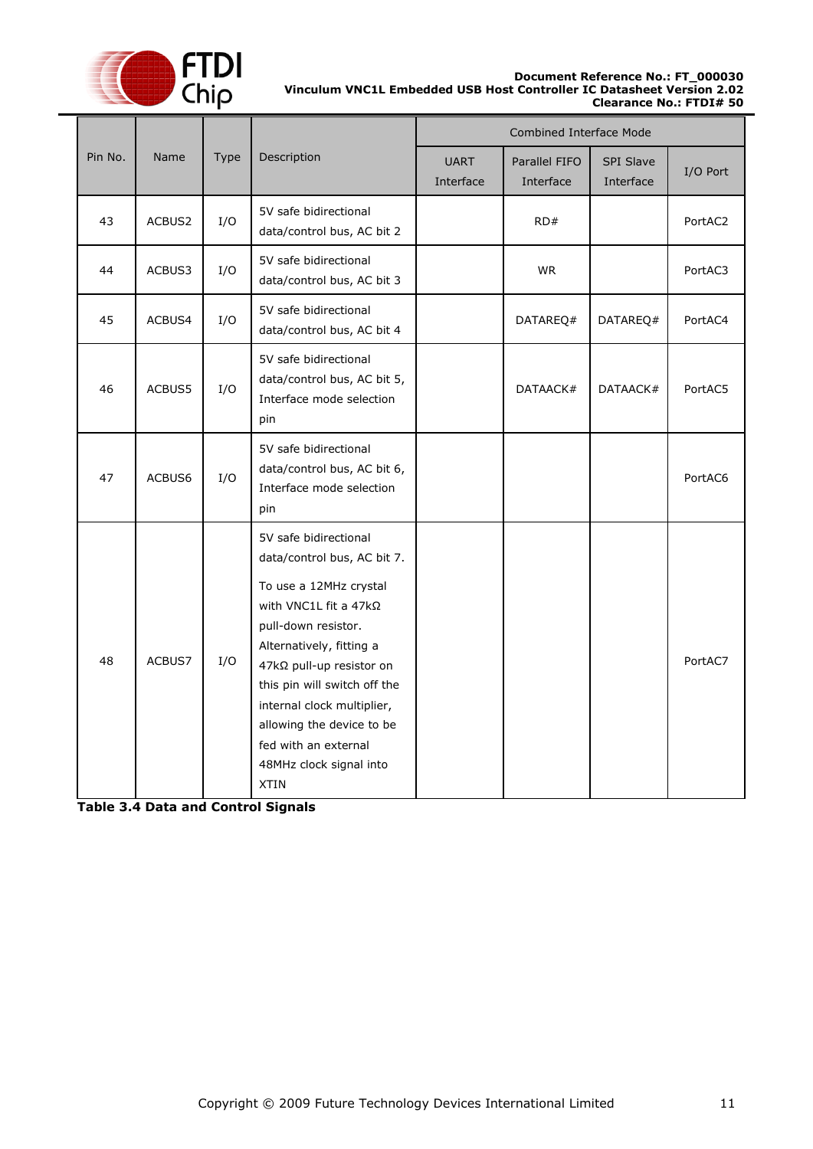

#### **Document Reference No.: FT\_000030 Vinculum VNC1L Embedded USB Host Controller IC Datasheet Version 2.02 Clearance No.: FTDI# 50**

|         |        |      | <b>Combined Interface Mode</b>                                                                                                                                                                                                                                                                                                                      |                          |                            |                               |          |
|---------|--------|------|-----------------------------------------------------------------------------------------------------------------------------------------------------------------------------------------------------------------------------------------------------------------------------------------------------------------------------------------------------|--------------------------|----------------------------|-------------------------------|----------|
| Pin No. | Name   | Type | Description                                                                                                                                                                                                                                                                                                                                         | <b>UART</b><br>Interface | Parallel FIFO<br>Interface | <b>SPI Slave</b><br>Interface | I/O Port |
| 43      | ACBUS2 | I/O  | 5V safe bidirectional<br>data/control bus, AC bit 2                                                                                                                                                                                                                                                                                                 |                          | RD#                        |                               | PortAC2  |
| 44      | ACBUS3 | I/O  | 5V safe bidirectional<br>data/control bus, AC bit 3                                                                                                                                                                                                                                                                                                 |                          | <b>WR</b>                  |                               | PortAC3  |
| 45      | ACBUS4 | I/O  | 5V safe bidirectional<br>data/control bus, AC bit 4                                                                                                                                                                                                                                                                                                 |                          | DATAREQ#                   | DATAREQ#                      | PortAC4  |
| 46      | ACBUS5 | I/O  | 5V safe bidirectional<br>data/control bus, AC bit 5,<br>Interface mode selection<br>pin                                                                                                                                                                                                                                                             |                          | DATAACK#                   | DATAACK#                      | PortAC5  |
| 47      | ACBUS6 | I/O  | 5V safe bidirectional<br>data/control bus, AC bit 6,<br>Interface mode selection<br>pin                                                                                                                                                                                                                                                             |                          |                            |                               | PortAC6  |
| 48      | ACBUS7 | I/O  | 5V safe bidirectional<br>data/control bus, AC bit 7.<br>To use a 12MHz crystal<br>with VNC1L fit a 47kΩ<br>pull-down resistor.<br>Alternatively, fitting a<br>47kΩ pull-up resistor on<br>this pin will switch off the<br>internal clock multiplier,<br>allowing the device to be<br>fed with an external<br>48MHz clock signal into<br><b>XTIN</b> |                          |                            |                               | PortAC7  |

<span id="page-10-0"></span>**Table 3.4 Data and Control Signals**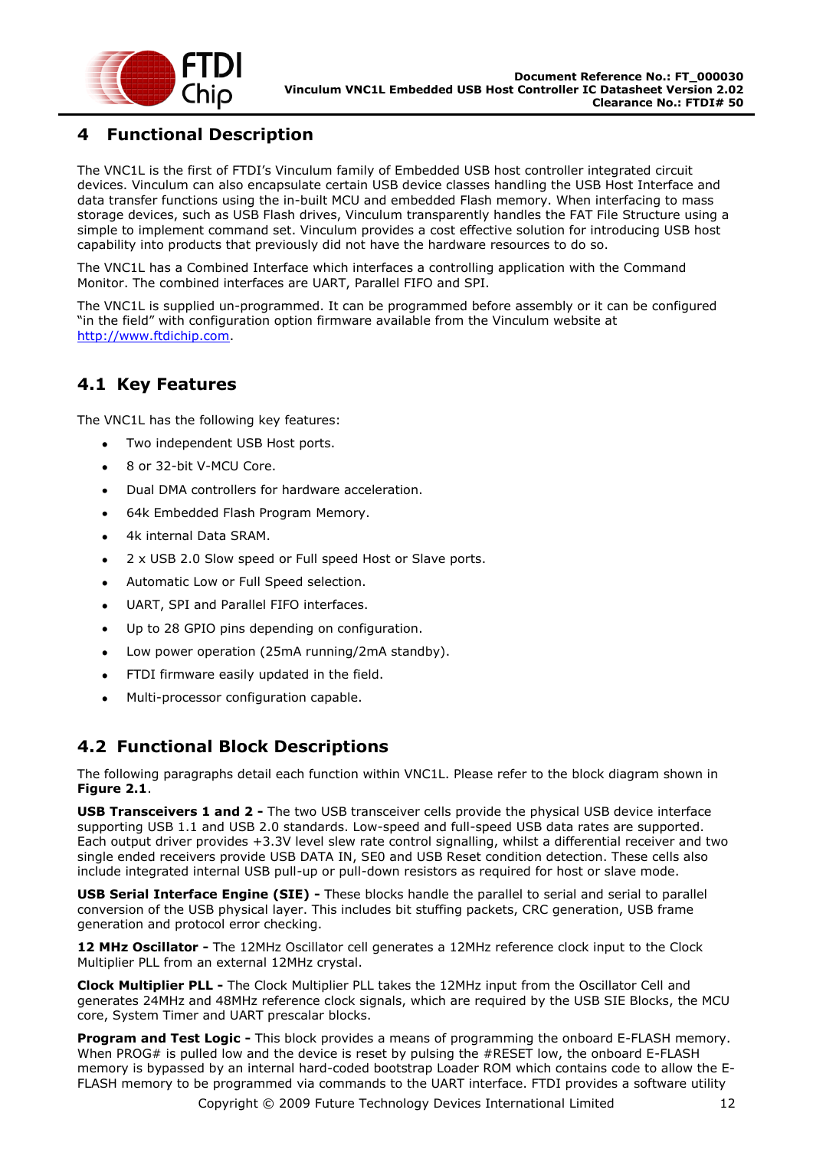

### <span id="page-11-1"></span>**4 Functional Description**

The VNC1L is the first of FTDI's Vinculum family of Embedded USB host controller integrated circuit devices. Vinculum can also encapsulate certain USB device classes handling the USB Host Interface and data transfer functions using the in-built MCU and embedded Flash memory. When interfacing to mass storage devices, such as USB Flash drives, Vinculum transparently handles the FAT File Structure using a simple to implement command set. Vinculum provides a cost effective solution for introducing USB host capability into products that previously did not have the hardware resources to do so.

The VNC1L has a Combined Interface which interfaces a controlling application with the Command Monitor. The combined interfaces are UART, Parallel FIFO and SPI.

The VNC1L is supplied un-programmed. It can be programmed before assembly or it can be configured "in the field" with configuration option firmware available from the Vinculum website at [http://www.ftdichip.com.](http://www.ftdichip.com/)

### <span id="page-11-2"></span>**4.1 Key Features**

The VNC1L has the following key features:

- Two independent USB Host ports.
- 8 or 32-bit V-MCU Core.
- Dual DMA controllers for hardware acceleration.
- 64k Embedded Flash Program Memory.
- 4k internal Data SRAM.
- 2 x USB 2.0 Slow speed or Full speed Host or Slave ports.  $\bullet$
- Automatic Low or Full Speed selection.
- UART, SPI and Parallel FIFO interfaces.  $\bullet$
- Up to 28 GPIO pins depending on configuration.
- Low power operation (25mA running/2mA standby).  $\bullet$
- FTDI firmware easily updated in the field.  $\bullet$
- Multi-processor configuration capable.  $\bullet$

#### <span id="page-11-0"></span>**4.2 Functional Block Descriptions**

The following paragraphs detail each function within VNC1L. Please refer to the block diagram shown in **[Figure 2.1](#page-3-1)**.

**USB Transceivers 1 and 2 -** The two USB transceiver cells provide the physical USB device interface supporting USB 1.1 and USB 2.0 standards. Low-speed and full-speed USB data rates are supported. Each output driver provides +3.3V level slew rate control signalling, whilst a differential receiver and two single ended receivers provide USB DATA IN, SE0 and USB Reset condition detection. These cells also include integrated internal USB pull-up or pull-down resistors as required for host or slave mode.

**USB Serial Interface Engine (SIE) -** These blocks handle the parallel to serial and serial to parallel conversion of the USB physical layer. This includes bit stuffing packets, CRC generation, USB frame generation and protocol error checking.

**12 MHz Oscillator -** The 12MHz Oscillator cell generates a 12MHz reference clock input to the Clock Multiplier PLL from an external 12MHz crystal.

**Clock Multiplier PLL -** The Clock Multiplier PLL takes the 12MHz input from the Oscillator Cell and generates 24MHz and 48MHz reference clock signals, which are required by the USB SIE Blocks, the MCU core, System Timer and UART prescalar blocks.

**Program and Test Logic -** This block provides a means of programming the onboard E-FLASH memory. When PROG# is pulled low and the device is reset by pulsing the #RESET low, the onboard E-FLASH memory is bypassed by an internal hard-coded bootstrap Loader ROM which contains code to allow the E-FLASH memory to be programmed via commands to the UART interface. FTDI provides a software utility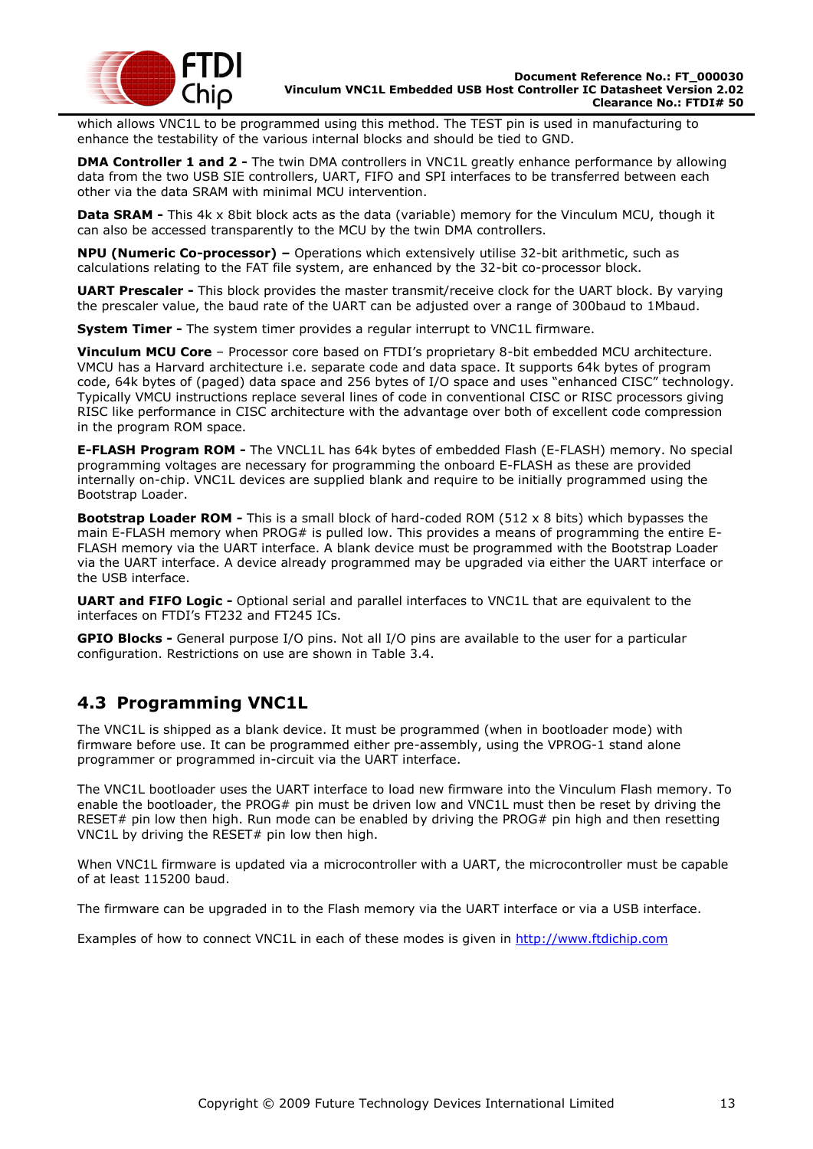

which allows VNC1L to be programmed using this method. The TEST pin is used in manufacturing to enhance the testability of the various internal blocks and should be tied to GND.

**DMA Controller 1 and 2 -** The twin DMA controllers in VNC1L greatly enhance performance by allowing data from the two USB SIE controllers, UART, FIFO and SPI interfaces to be transferred between each other via the data SRAM with minimal MCU intervention.

**Data SRAM -** This 4k x 8bit block acts as the data (variable) memory for the Vinculum MCU, though it can also be accessed transparently to the MCU by the twin DMA controllers.

**NPU (Numeric Co-processor) –** Operations which extensively utilise 32-bit arithmetic, such as calculations relating to the FAT file system, are enhanced by the 32-bit co-processor block.

**UART Prescaler -** This block provides the master transmit/receive clock for the UART block. By varying the prescaler value, the baud rate of the UART can be adjusted over a range of 300baud to 1Mbaud.

**System Timer -** The system timer provides a regular interrupt to VNC1L firmware.

**Vinculum MCU Core** – Processor core based on FTDI"s proprietary 8-bit embedded MCU architecture. VMCU has a Harvard architecture i.e. separate code and data space. It supports 64k bytes of program code, 64k bytes of (paged) data space and 256 bytes of I/O space and uses "enhanced CISC" technology. Typically VMCU instructions replace several lines of code in conventional CISC or RISC processors giving RISC like performance in CISC architecture with the advantage over both of excellent code compression in the program ROM space.

**E-FLASH Program ROM -** The VNCL1L has 64k bytes of embedded Flash (E-FLASH) memory. No special programming voltages are necessary for programming the onboard E-FLASH as these are provided internally on-chip. VNC1L devices are supplied blank and require to be initially programmed using the Bootstrap Loader.

**Bootstrap Loader ROM -** This is a small block of hard-coded ROM (512 x 8 bits) which bypasses the main E-FLASH memory when PROG# is pulled low. This provides a means of programming the entire E-FLASH memory via the UART interface. A blank device must be programmed with the Bootstrap Loader via the UART interface. A device already programmed may be upgraded via either the UART interface or the USB interface.

**UART and FIFO Logic -** Optional serial and parallel interfaces to VNC1L that are equivalent to the interfaces on FTDI"s FT232 and FT245 ICs.

**GPIO Blocks -** General purpose I/O pins. Not all I/O pins are available to the user for a particular configuration. Restrictions on use are shown in [Table 3.4.](#page-10-0)

### <span id="page-12-0"></span>**4.3 Programming VNC1L**

The VNC1L is shipped as a blank device. It must be programmed (when in bootloader mode) with firmware before use. It can be programmed either pre-assembly, using the VPROG-1 stand alone programmer or programmed in-circuit via the UART interface.

The VNC1L bootloader uses the UART interface to load new firmware into the Vinculum Flash memory. To enable the bootloader, the PROG# pin must be driven low and VNC1L must then be reset by driving the RESET# pin low then high. Run mode can be enabled by driving the PROG# pin high and then resetting VNC1L by driving the RESET# pin low then high.

When VNC1L firmware is updated via a microcontroller with a UART, the microcontroller must be capable of at least 115200 baud.

The firmware can be upgraded in to the Flash memory via the UART interface or via a USB interface.

Examples of how to connect VNC1L in each of these modes is given in [http://www.ftdichip.com](http://www.ftdichip.com/)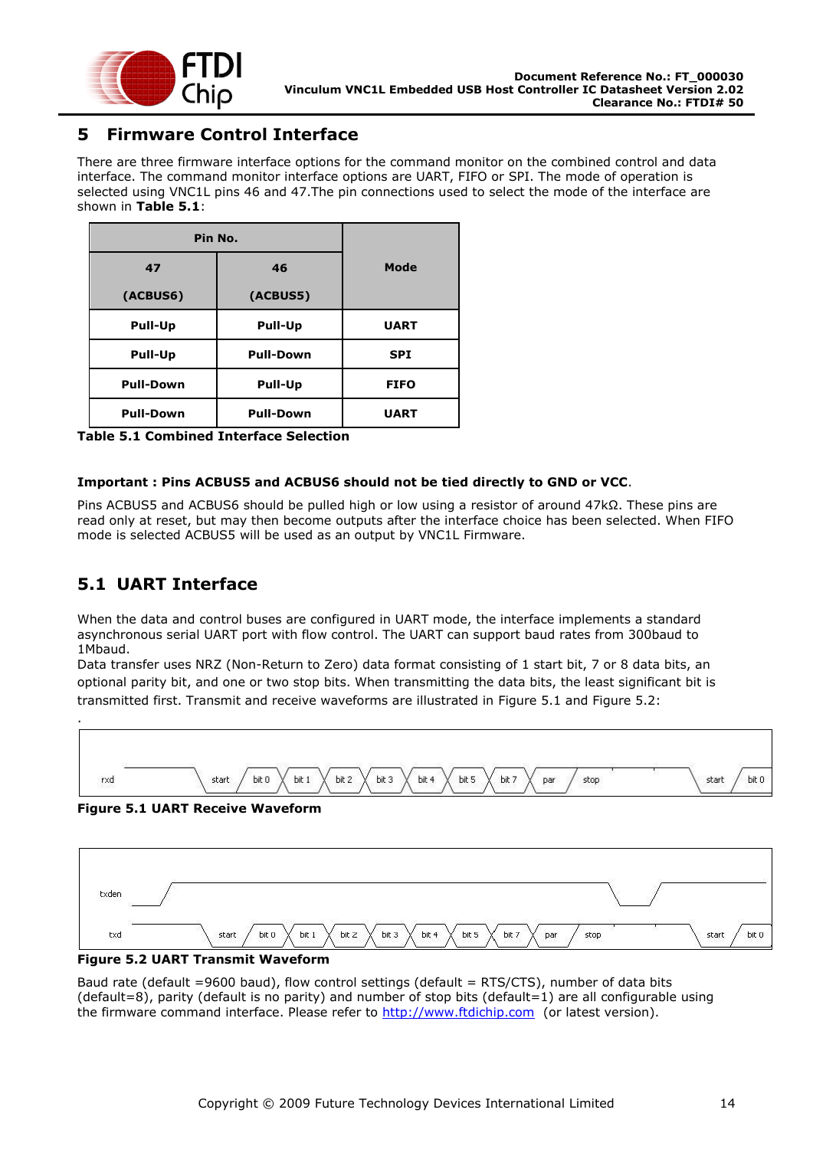

### <span id="page-13-0"></span>**5 Firmware Control Interface**

There are three firmware interface options for the command monitor on the combined control and data interface. The command monitor interface options are UART, FIFO or SPI. The mode of operation is selected using VNC1L pins 46 and 47.The pin connections used to select the mode of the interface are shown in **[Table 5.1](#page-13-2)**:

| Pin No.          |                  |             |
|------------------|------------------|-------------|
| 47               | 46               | Mode        |
| (ACBUS6)         | (ACBUS5)         |             |
| Pull-Up          | Pull-Up          | <b>UART</b> |
| Pull-Up          | <b>Pull-Down</b> | <b>SPI</b>  |
| <b>Pull-Down</b> | Pull-Up          | <b>FIFO</b> |
| <b>Pull-Down</b> | <b>Pull-Down</b> | <b>UART</b> |

<span id="page-13-2"></span>**Table 5.1 Combined Interface Selection**

#### **Important : Pins ACBUS5 and ACBUS6 should not be tied directly to GND or VCC**.

Pins ACBUS5 and ACBUS6 should be pulled high or low using a resistor of around 47kΩ. These pins are read only at reset, but may then become outputs after the interface choice has been selected. When FIFO mode is selected ACBUS5 will be used as an output by VNC1L Firmware.

### <span id="page-13-1"></span>**5.1 UART Interface**

.

When the data and control buses are configured in UART mode, the interface implements a standard asynchronous serial UART port with flow control. The UART can support baud rates from 300baud to 1Mbaud.

Data transfer uses NRZ (Non-Return to Zero) data format consisting of 1 start bit, 7 or 8 data bits, an optional parity bit, and one or two stop bits. When transmitting the data bits, the least significant bit is transmitted first. Transmit and receive waveforms are illustrated in [Figure 5.1](#page-13-3) and [Figure 5.2:](#page-13-4)



<span id="page-13-3"></span>**Figure 5.1 UART Receive Waveform**



<span id="page-13-4"></span>

Baud rate (default =9600 baud), flow control settings (default = RTS/CTS), number of data bits (default=8), parity (default is no parity) and number of stop bits (default=1) are all configurable using the firmware command interface. Please refer to [http://www.ftdichip.com](http://www.ftdichip.com/) (or latest version).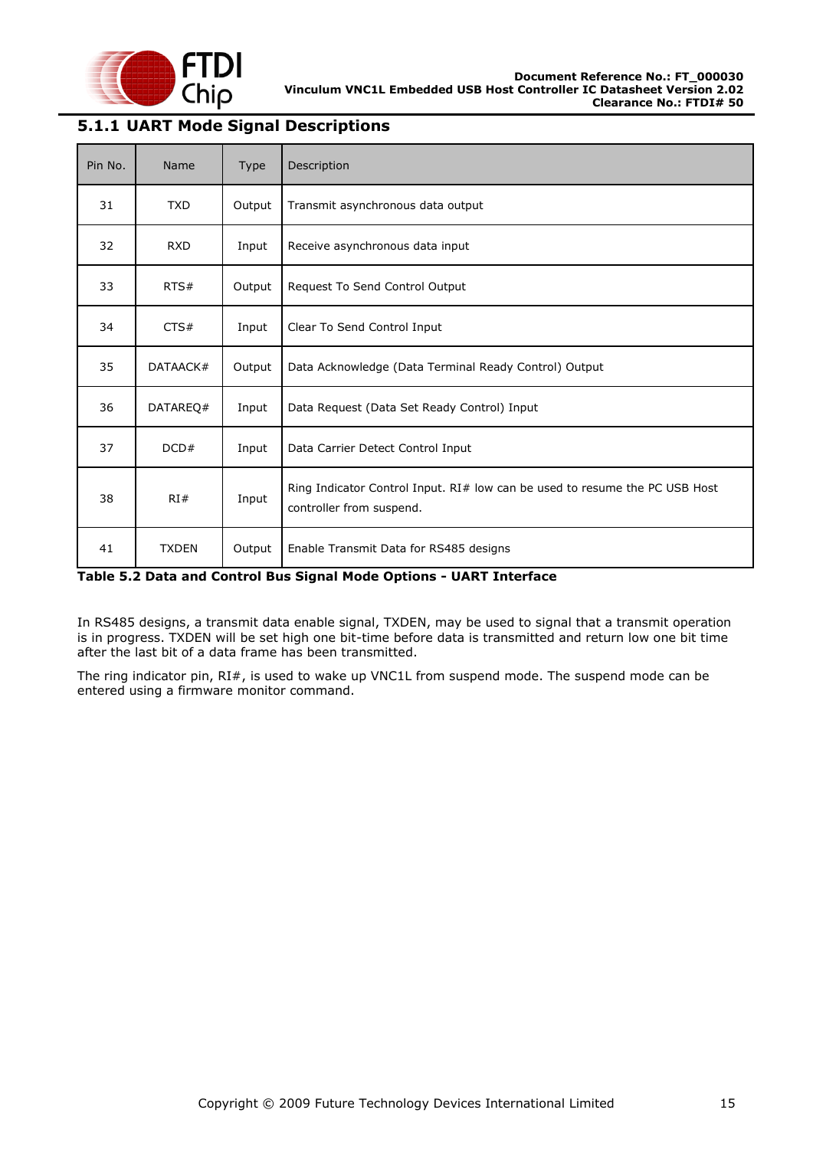

#### <span id="page-14-0"></span>**5.1.1 UART Mode Signal Descriptions**

| Pin No. | Name         | <b>Type</b> | Description                                                                                             |
|---------|--------------|-------------|---------------------------------------------------------------------------------------------------------|
| 31      | <b>TXD</b>   | Output      | Transmit asynchronous data output                                                                       |
| 32      | <b>RXD</b>   | Input       | Receive asynchronous data input                                                                         |
| 33      | RTS#         | Output      | Request To Send Control Output                                                                          |
| 34      | CTS#         | Input       | Clear To Send Control Input                                                                             |
| 35      | DATAACK#     | Output      | Data Acknowledge (Data Terminal Ready Control) Output                                                   |
| 36      | DATAREQ#     | Input       | Data Request (Data Set Ready Control) Input                                                             |
| 37      | DCD#         | Input       | Data Carrier Detect Control Input                                                                       |
| 38      | RI#          | Input       | Ring Indicator Control Input. RI# low can be used to resume the PC USB Host<br>controller from suspend. |
| 41      | <b>TXDEN</b> | Output      | Enable Transmit Data for RS485 designs                                                                  |

#### <span id="page-14-1"></span>**Table 5.2 Data and Control Bus Signal Mode Options - UART Interface**

In RS485 designs, a transmit data enable signal, TXDEN, may be used to signal that a transmit operation is in progress. TXDEN will be set high one bit-time before data is transmitted and return low one bit time after the last bit of a data frame has been transmitted.

The ring indicator pin, RI#, is used to wake up VNC1L from suspend mode. The suspend mode can be entered using a firmware monitor command.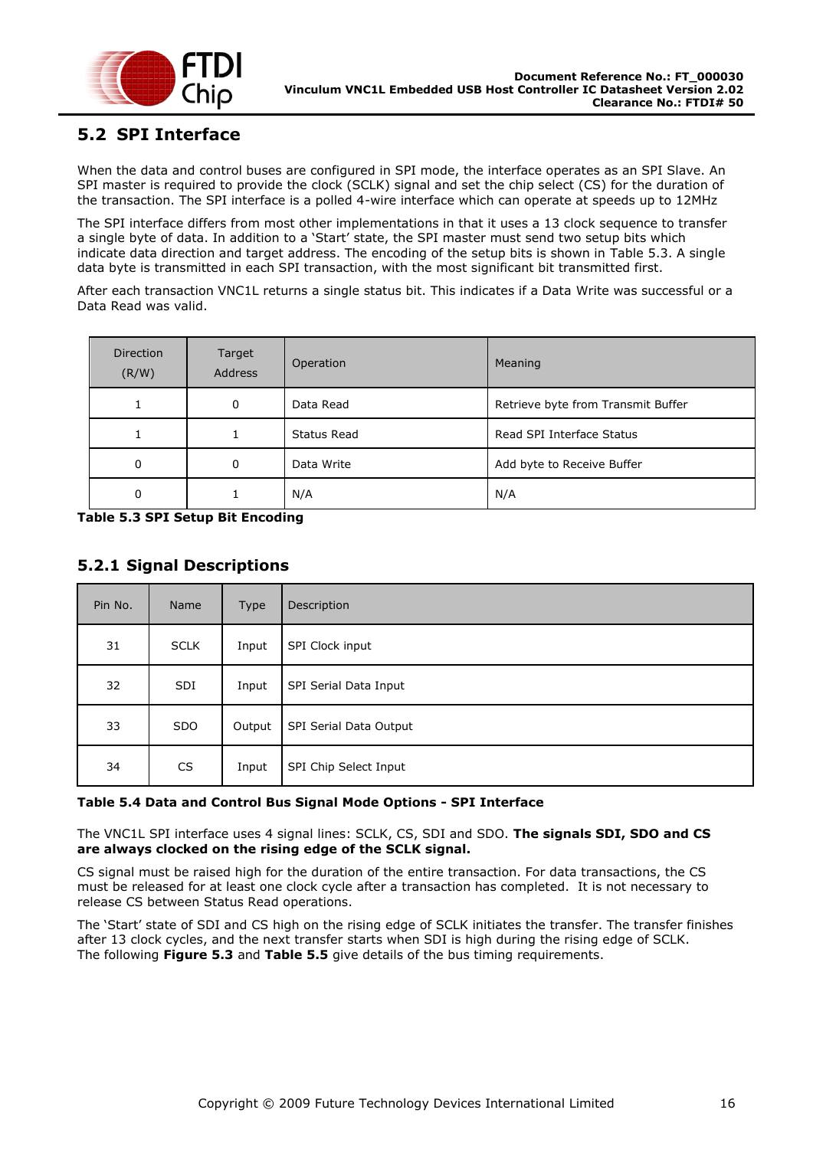

### <span id="page-15-0"></span>**5.2 SPI Interface**

When the data and control buses are configured in SPI mode, the interface operates as an SPI Slave. An SPI master is required to provide the clock (SCLK) signal and set the chip select (CS) for the duration of the transaction. The SPI interface is a polled 4-wire interface which can operate at speeds up to 12MHz

The SPI interface differs from most other implementations in that it uses a 13 clock sequence to transfer a single byte of data. In addition to a "Start" state, the SPI master must send two setup bits which indicate data direction and target address. The encoding of the setup bits is shown in [Table 5.3.](#page-15-2) A single data byte is transmitted in each SPI transaction, with the most significant bit transmitted first.

After each transaction VNC1L returns a single status bit. This indicates if a Data Write was successful or a Data Read was valid.

| <b>Direction</b><br>(R/W) | Target<br><b>Address</b> | Operation   | Meaning                            |
|---------------------------|--------------------------|-------------|------------------------------------|
|                           | 0                        | Data Read   | Retrieve byte from Transmit Buffer |
|                           |                          | Status Read | Read SPI Interface Status          |
| $\mathbf{0}$              | 0                        | Data Write  | Add byte to Receive Buffer         |
| 0                         |                          | N/A         | N/A                                |

<span id="page-15-2"></span>**Table 5.3 SPI Setup Bit Encoding**

#### <span id="page-15-1"></span>**5.2.1 Signal Descriptions**

| Pin No. | Name        | Type   | Description            |
|---------|-------------|--------|------------------------|
| 31      | <b>SCLK</b> | Input  | SPI Clock input        |
| 32      | <b>SDI</b>  | Input  | SPI Serial Data Input  |
| 33      | <b>SDO</b>  | Output | SPI Serial Data Output |
| 34      | <b>CS</b>   | Input  | SPI Chip Select Input  |

#### <span id="page-15-3"></span>**Table 5.4 Data and Control Bus Signal Mode Options - SPI Interface**

The VNC1L SPI interface uses 4 signal lines: SCLK, CS, SDI and SDO. **The signals SDI, SDO and CS are always clocked on the rising edge of the SCLK signal.**

CS signal must be raised high for the duration of the entire transaction. For data transactions, the CS must be released for at least one clock cycle after a transaction has completed. It is not necessary to release CS between Status Read operations.

The "Start" state of SDI and CS high on the rising edge of SCLK initiates the transfer. The transfer finishes after 13 clock cycles, and the next transfer starts when SDI is high during the rising edge of SCLK. The following **[Figure 5.3](#page-16-1)** and **[Table 5.5](#page-16-2)** give details of the bus timing requirements.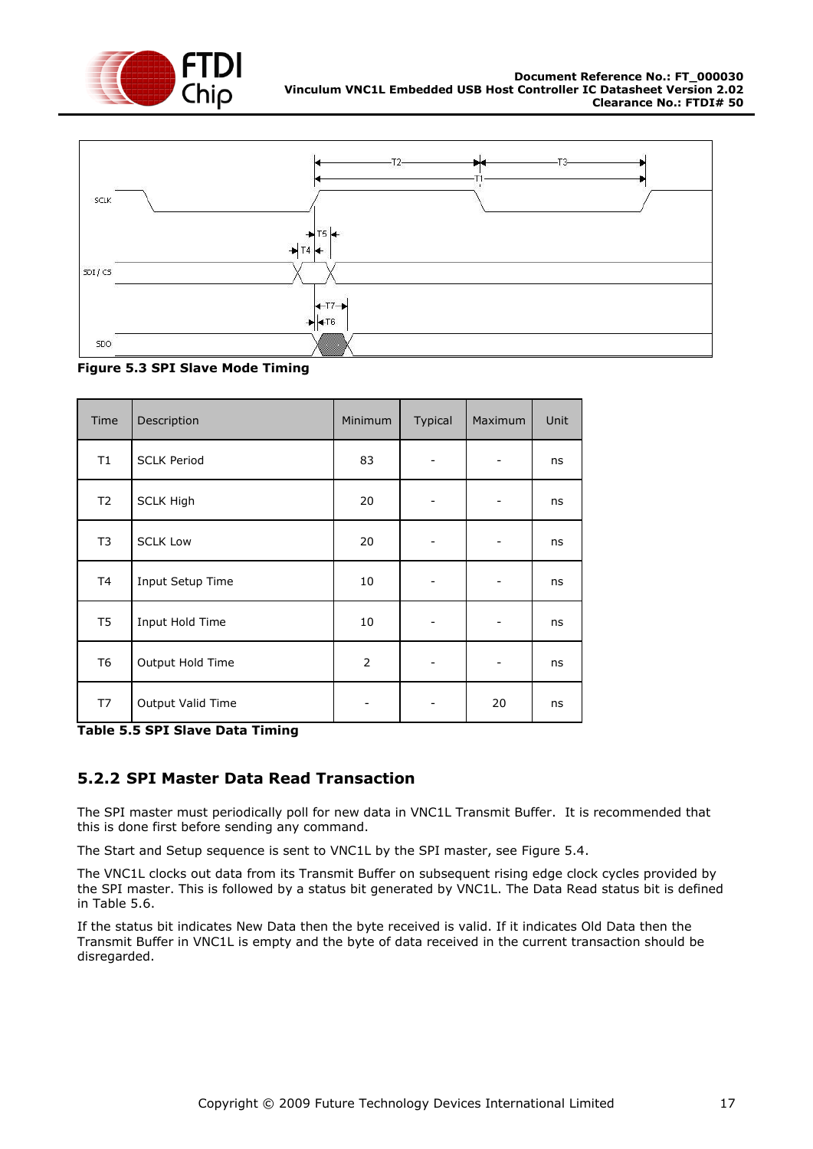



<span id="page-16-1"></span>

| Time           | Description        | Minimum        | Typical | Maximum | Unit |
|----------------|--------------------|----------------|---------|---------|------|
| T1             | <b>SCLK Period</b> | 83             |         |         | ns   |
| T <sub>2</sub> | <b>SCLK High</b>   | 20             |         |         | ns   |
| T <sub>3</sub> | <b>SCLK Low</b>    | 20             |         |         | ns   |
| T4             | Input Setup Time   | 10             |         |         | ns   |
| T <sub>5</sub> | Input Hold Time    | 10             |         |         | ns   |
| T <sub>6</sub> | Output Hold Time   | $\overline{2}$ |         |         | ns   |
| T7             | Output Valid Time  |                |         | 20      | ns   |

<span id="page-16-2"></span>**Table 5.5 SPI Slave Data Timing**

#### <span id="page-16-0"></span>**5.2.2 SPI Master Data Read Transaction**

The SPI master must periodically poll for new data in VNC1L Transmit Buffer. It is recommended that this is done first before sending any command.

The Start and Setup sequence is sent to VNC1L by the SPI master, see [Figure 5.4.](#page-17-1)

The VNC1L clocks out data from its Transmit Buffer on subsequent rising edge clock cycles provided by the SPI master. This is followed by a status bit generated by VNC1L. The Data Read status bit is defined in [Table 5.6.](#page-17-2)

If the status bit indicates New Data then the byte received is valid. If it indicates Old Data then the Transmit Buffer in VNC1L is empty and the byte of data received in the current transaction should be disregarded.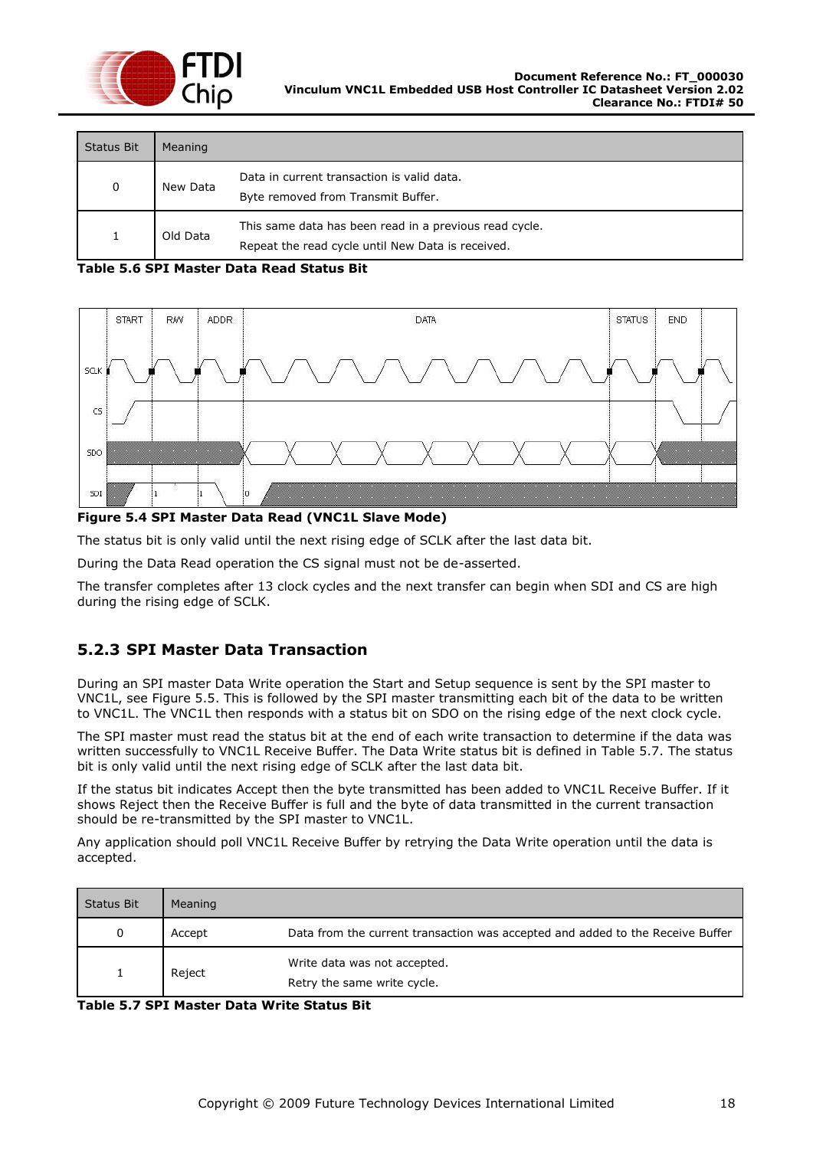

| <b>Status Bit</b> | Meaning  |                                                                                                             |
|-------------------|----------|-------------------------------------------------------------------------------------------------------------|
| 0                 | New Data | Data in current transaction is valid data.<br>Byte removed from Transmit Buffer.                            |
|                   | Old Data | This same data has been read in a previous read cycle.<br>Repeat the read cycle until New Data is received. |

#### <span id="page-17-2"></span>**Table 5.6 SPI Master Data Read Status Bit**



#### <span id="page-17-1"></span>**Figure 5.4 SPI Master Data Read (VNC1L Slave Mode)**

The status bit is only valid until the next rising edge of SCLK after the last data bit.

During the Data Read operation the CS signal must not be de-asserted.

The transfer completes after 13 clock cycles and the next transfer can begin when SDI and CS are high during the rising edge of SCLK.

#### <span id="page-17-0"></span>**5.2.3 SPI Master Data Transaction**

During an SPI master Data Write operation the Start and Setup sequence is sent by the SPI master to VNC1L, see [Figure 5.5.](#page-18-1) This is followed by the SPI master transmitting each bit of the data to be written to VNC1L. The VNC1L then responds with a status bit on SDO on the rising edge of the next clock cycle.

The SPI master must read the status bit at the end of each write transaction to determine if the data was written successfully to VNC1L Receive Buffer. The Data Write status bit is defined in [Table 5.7.](#page-17-3) The status bit is only valid until the next rising edge of SCLK after the last data bit.

If the status bit indicates Accept then the byte transmitted has been added to VNC1L Receive Buffer. If it shows Reject then the Receive Buffer is full and the byte of data transmitted in the current transaction should be re-transmitted by the SPI master to VNC1L.

Any application should poll VNC1L Receive Buffer by retrying the Data Write operation until the data is accepted.

| <b>Status Bit</b> | Meaning |                                                                                |
|-------------------|---------|--------------------------------------------------------------------------------|
|                   | Accept  | Data from the current transaction was accepted and added to the Receive Buffer |
|                   | Reject  | Write data was not accepted.<br>Retry the same write cycle.                    |

<span id="page-17-3"></span>**Table 5.7 SPI Master Data Write Status Bit**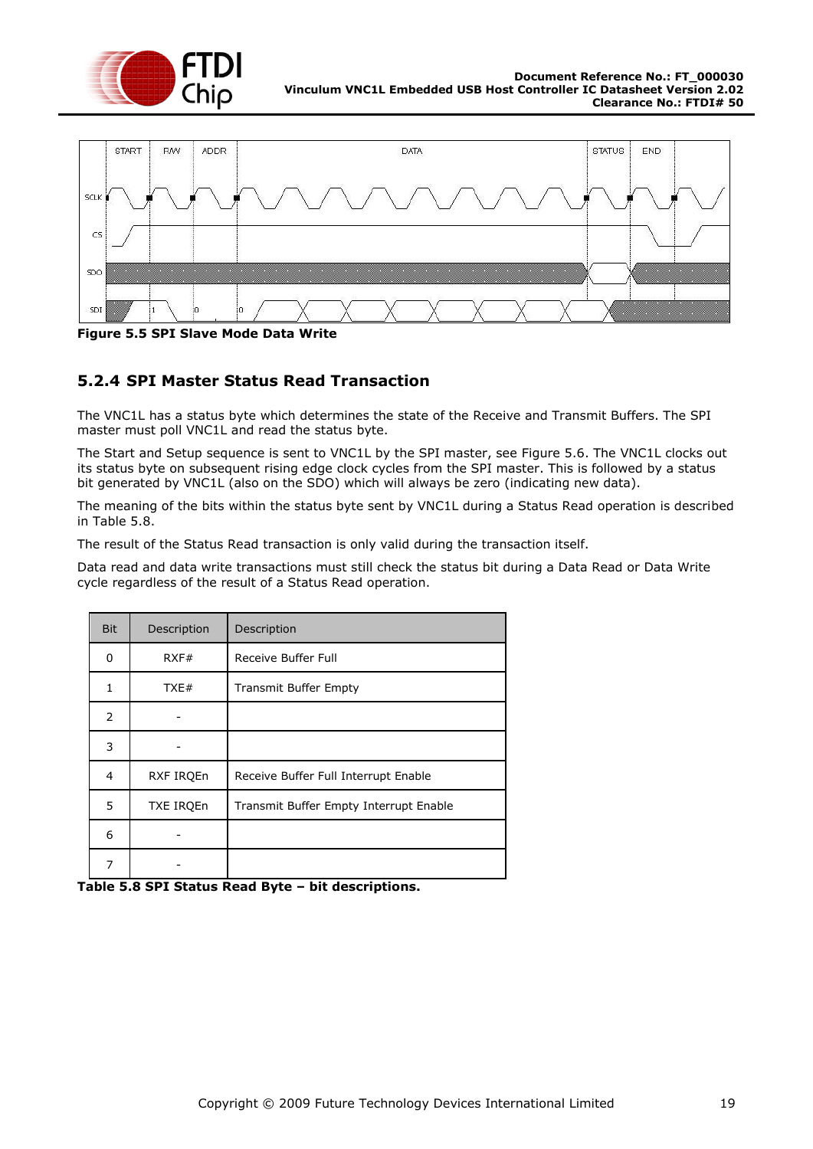



<span id="page-18-1"></span>**Figure 5.5 SPI Slave Mode Data Write**

#### <span id="page-18-0"></span>**5.2.4 SPI Master Status Read Transaction**

The VNC1L has a status byte which determines the state of the Receive and Transmit Buffers. The SPI master must poll VNC1L and read the status byte.

The Start and Setup sequence is sent to VNC1L by the SPI master, see [Figure 5.6.](#page-19-2) The VNC1L clocks out its status byte on subsequent rising edge clock cycles from the SPI master. This is followed by a status bit generated by VNC1L (also on the SDO) which will always be zero (indicating new data).

The meaning of the bits within the status byte sent by VNC1L during a Status Read operation is described in [Table 5.8.](#page-18-2)

The result of the Status Read transaction is only valid during the transaction itself.

Data read and data write transactions must still check the status bit during a Data Read or Data Write cycle regardless of the result of a Status Read operation.

| <b>Bit</b> | Description      | Description                            |  |  |  |
|------------|------------------|----------------------------------------|--|--|--|
| 0          | RXF#             | Receive Buffer Full                    |  |  |  |
| 1          | TXE#             | <b>Transmit Buffer Empty</b>           |  |  |  |
| 2          |                  |                                        |  |  |  |
| 3          |                  |                                        |  |  |  |
| 4          | RXF IRQEn        | Receive Buffer Full Interrupt Enable   |  |  |  |
| 5          | <b>TXE IRQEn</b> | Transmit Buffer Empty Interrupt Enable |  |  |  |
| 6          |                  |                                        |  |  |  |
| 7          |                  |                                        |  |  |  |

<span id="page-18-2"></span>**Table 5.8 SPI Status Read Byte – bit descriptions.**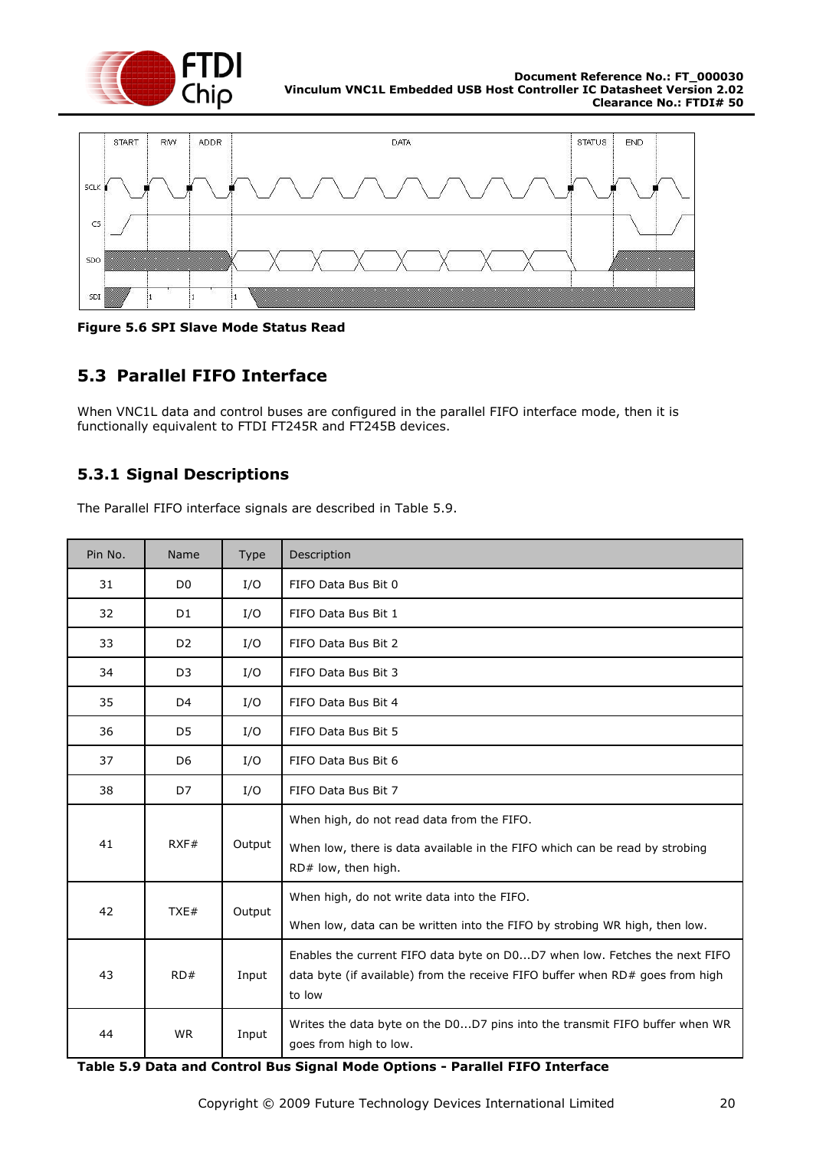



<span id="page-19-2"></span>**Figure 5.6 SPI Slave Mode Status Read**

### <span id="page-19-0"></span>**5.3 Parallel FIFO Interface**

When VNC1L data and control buses are configured in the parallel FIFO interface mode, then it is functionally equivalent to FTDI FT245R and FT245B devices.

#### <span id="page-19-1"></span>**5.3.1 Signal Descriptions**

The Parallel FIFO interface signals are described in [Table 5.9.](#page-19-3)

| Pin No. | Name           | Type   | Description                                                                                                                                                           |
|---------|----------------|--------|-----------------------------------------------------------------------------------------------------------------------------------------------------------------------|
| 31      | D <sub>0</sub> | I/O    | FIFO Data Bus Bit 0                                                                                                                                                   |
| 32      | D <sub>1</sub> | I/O    | FIFO Data Bus Bit 1                                                                                                                                                   |
| 33      | D <sub>2</sub> | I/O    | FIFO Data Bus Bit 2                                                                                                                                                   |
| 34      | D <sub>3</sub> | I/O    | FIFO Data Bus Bit 3                                                                                                                                                   |
| 35      | D <sub>4</sub> | I/O    | FIFO Data Bus Bit 4                                                                                                                                                   |
| 36      | D <sub>5</sub> | I/O    | FIFO Data Bus Bit 5                                                                                                                                                   |
| 37      | D <sub>6</sub> | I/O    | FIFO Data Bus Bit 6                                                                                                                                                   |
| 38      | D7             | I/O    | FIFO Data Bus Bit 7                                                                                                                                                   |
| 41      | RXF#           | Output | When high, do not read data from the FIFO.<br>When low, there is data available in the FIFO which can be read by strobing<br>RD# low, then high.                      |
| 42      | TXE#           | Output | When high, do not write data into the FIFO.<br>When low, data can be written into the FIFO by strobing WR high, then low.                                             |
| 43      | RD#            | Input  | Enables the current FIFO data byte on D0D7 when low. Fetches the next FIFO<br>data byte (if available) from the receive FIFO buffer when RD# goes from high<br>to low |
| 44      | <b>WR</b>      | Input  | Writes the data byte on the D0D7 pins into the transmit FIFO buffer when WR<br>goes from high to low.                                                                 |

<span id="page-19-3"></span>**Table 5.9 Data and Control Bus Signal Mode Options - Parallel FIFO Interface**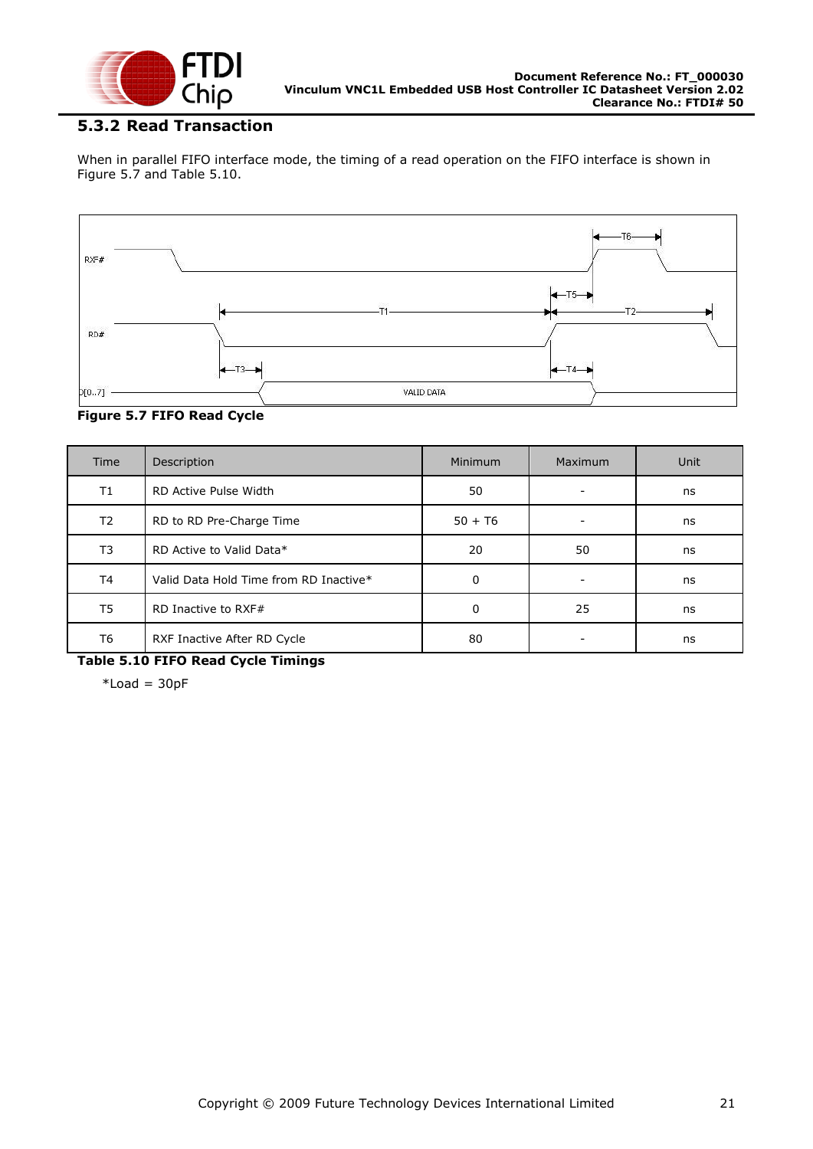

#### <span id="page-20-0"></span>**5.3.2 Read Transaction**

When in parallel FIFO interface mode, the timing of a read operation on the FIFO interface is shown in [Figure 5.7](#page-20-1) and [Table 5.10.](#page-20-2)



<span id="page-20-1"></span>**Figure 5.7 FIFO Read Cycle**

| Time           | Description                            | Minimum   | Maximum | Unit |
|----------------|----------------------------------------|-----------|---------|------|
| T1             | RD Active Pulse Width                  | 50        |         | ns   |
| T <sub>2</sub> | RD to RD Pre-Charge Time               | $50 + T6$ |         | ns   |
| T3             | RD Active to Valid Data*               | 20        | 50      | ns   |
| T4             | Valid Data Hold Time from RD Inactive* | 0         |         | ns   |
| T <sub>5</sub> | RD Inactive to RXF#                    | 0         | 25      | ns   |
| T6             | RXF Inactive After RD Cycle            | 80        |         | ns   |

<span id="page-20-2"></span>**Table 5.10 FIFO Read Cycle Timings**

 $*$ Load = 30pF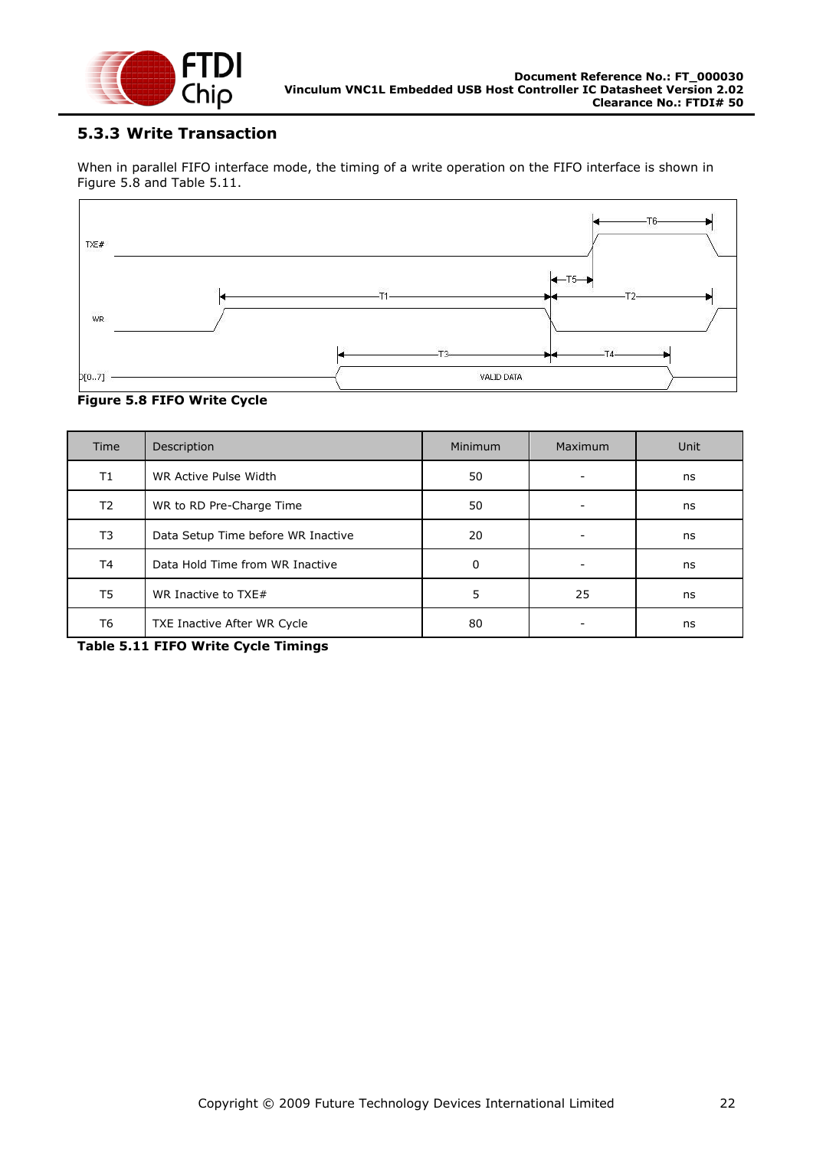

#### <span id="page-21-0"></span>**5.3.3 Write Transaction**

When in parallel FIFO interface mode, the timing of a write operation on the FIFO interface is shown in [Figure 5.8](#page-21-1) and [Table 5.11.](#page-21-2)



#### <span id="page-21-1"></span>**Figure 5.8 FIFO Write Cycle**

| <b>Time</b>    | Description                        | <b>Minimum</b> | Maximum | Unit |
|----------------|------------------------------------|----------------|---------|------|
| T1             | WR Active Pulse Width              | 50             |         | ns   |
| T <sub>2</sub> | WR to RD Pre-Charge Time           | 50             |         | ns   |
| T3             | Data Setup Time before WR Inactive | 20             |         | ns   |
| T4             | Data Hold Time from WR Inactive    | 0              |         | ns   |
| T5             | WR Inactive to TXE#                | 5              | 25      | ns   |
| T6             | TXE Inactive After WR Cycle        | 80             |         | ns   |

<span id="page-21-2"></span>**Table 5.11 FIFO Write Cycle Timings**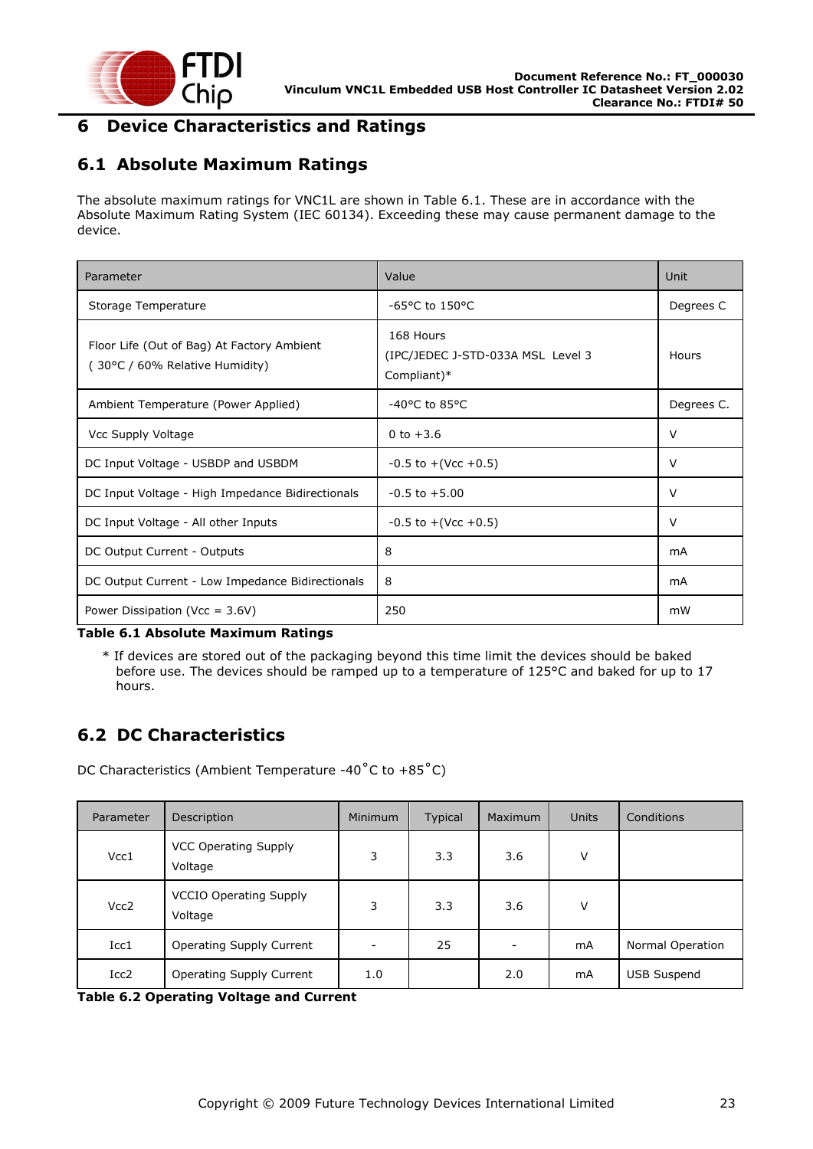

### <span id="page-22-0"></span>**6 Device Characteristics and Ratings**

### <span id="page-22-1"></span>**6.1 Absolute Maximum Ratings**

The absolute maximum ratings for VNC1L are shown in [Table 6.1.](#page-22-3) These are in accordance with the Absolute Maximum Rating System (IEC 60134). Exceeding these may cause permanent damage to the device.

| Parameter                                                                   | Value                                                         | Unit       |
|-----------------------------------------------------------------------------|---------------------------------------------------------------|------------|
| Storage Temperature                                                         | -65 $\degree$ C to 150 $\degree$ C                            | Degrees C  |
| Floor Life (Out of Bag) At Factory Ambient<br>30°C / 60% Relative Humidity) | 168 Hours<br>(IPC/JEDEC J-STD-033A MSL Level 3<br>Compliant)* | Hours      |
| Ambient Temperature (Power Applied)                                         | $-40^{\circ}$ C to 85 $^{\circ}$ C                            | Degrees C. |
| Vcc Supply Voltage                                                          | 0 to $+3.6$                                                   | $\vee$     |
| DC Input Voltage - USBDP and USBDM                                          | $-0.5$ to $+($ Vcc $+0.5)$                                    | V          |
| DC Input Voltage - High Impedance Bidirectionals                            | $-0.5$ to $+5.00$                                             | $\vee$     |
| DC Input Voltage - All other Inputs                                         | $-0.5$ to $+($ Vcc $+0.5)$                                    | V          |
| DC Output Current - Outputs                                                 | 8                                                             | mA         |
| DC Output Current - Low Impedance Bidirectionals                            | 8                                                             | mA         |
| Power Dissipation (Vcc = $3.6V$ )                                           | 250                                                           | mW         |

<span id="page-22-3"></span>**Table 6.1 Absolute Maximum Ratings**

\* If devices are stored out of the packaging beyond this time limit the devices should be baked before use. The devices should be ramped up to a temperature of 125°C and baked for up to 17 hours.

# <span id="page-22-2"></span>**6.2 DC Characteristics**

DC Characteristics (Ambient Temperature -40˚C to +85˚C)

| Parameter        | Description                              | <b>Minimum</b> | Typical | Maximum | <b>Units</b> | Conditions         |
|------------------|------------------------------------------|----------------|---------|---------|--------------|--------------------|
| Vcc1             | <b>VCC Operating Supply</b><br>Voltage   | 3              | 3.3     | 3.6     | v            |                    |
| Vcc <sub>2</sub> | <b>VCCIO Operating Supply</b><br>Voltage | 3              | 3.3     | 3.6     | v            |                    |
| Icc1             | Operating Supply Current                 | -              | 25      |         | mA           | Normal Operation   |
| Icc2             | Operating Supply Current                 | 1.0            |         | 2.0     | mA           | <b>USB Suspend</b> |

<span id="page-22-4"></span>**Table 6.2 Operating Voltage and Current**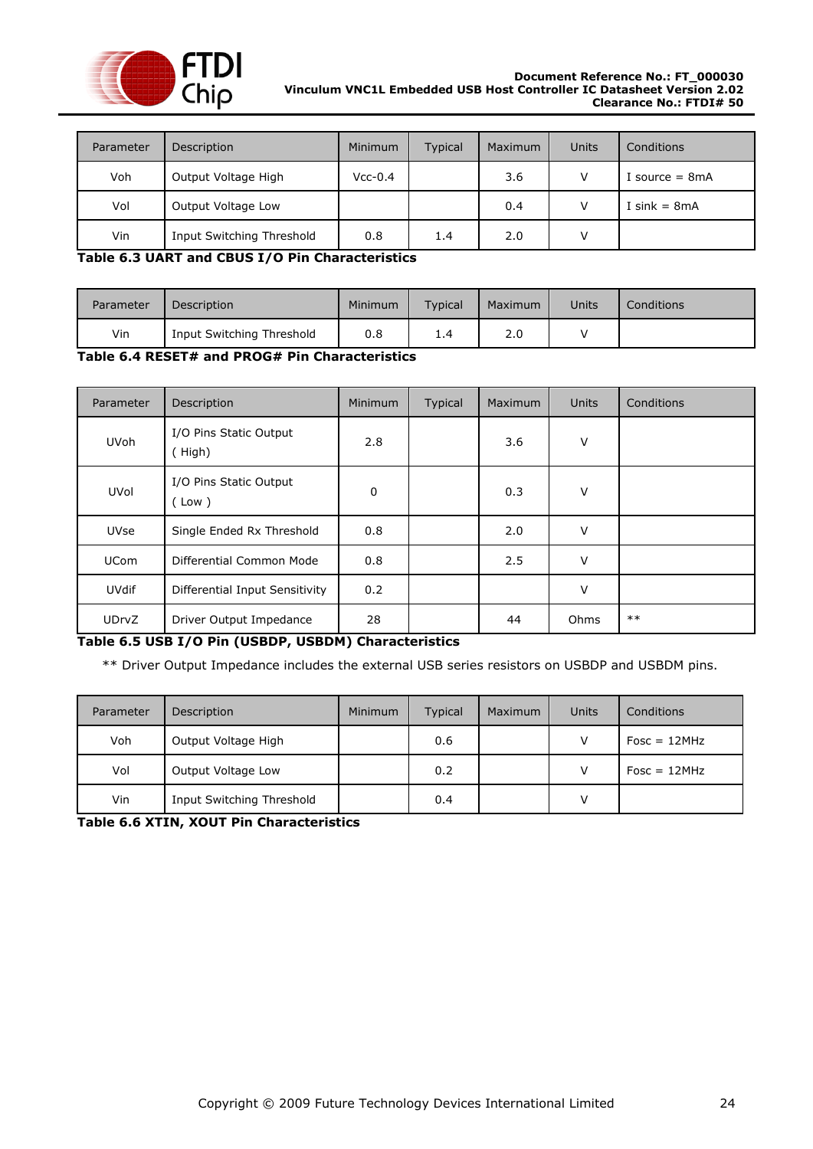

| Parameter | Description               | Minimum   | <b>Typical</b> | Maximum | Units | Conditions       |
|-----------|---------------------------|-----------|----------------|---------|-------|------------------|
| Voh       | Output Voltage High       | $Vcc-0.4$ |                | 3.6     | V     | I source $= 8mA$ |
| Vol       | Output Voltage Low        |           |                | 0.4     | V     | I sink = $8mA$   |
| Vin       | Input Switching Threshold | 0.8       | 1.4            | 2.0     | V     |                  |

<span id="page-23-0"></span>**Table 6.3 UART and CBUS I/O Pin Characteristics**

| Parameter | <b>Description</b>        | <b>Minimum</b> | Typical | Maximum | Units | Conditions |
|-----------|---------------------------|----------------|---------|---------|-------|------------|
| Vin       | Input Switching Threshold | 0.8            | 1.4     | 2.0     |       |            |

<span id="page-23-1"></span>**Table 6.4 RESET# and PROG# Pin Characteristics**

| Parameter    | Description                      | <b>Minimum</b> | Typical | Maximum | <b>Units</b> | Conditions |
|--------------|----------------------------------|----------------|---------|---------|--------------|------------|
| <b>UVoh</b>  | I/O Pins Static Output<br>(High) | 2.8            |         | 3.6     | $\vee$       |            |
| <b>UVol</b>  | I/O Pins Static Output<br>(Low)  | 0              |         | 0.3     | v            |            |
| <b>UVse</b>  | Single Ended Rx Threshold        | 0.8            |         | 2.0     | $\vee$       |            |
| <b>UCom</b>  | Differential Common Mode         | 0.8            |         | 2.5     | $\vee$       |            |
| <b>UVdif</b> | Differential Input Sensitivity   | 0.2            |         |         | $\vee$       |            |
| <b>UDrvZ</b> | Driver Output Impedance          | 28             |         | 44      | Ohms         | $***$      |

#### <span id="page-23-2"></span>**Table 6.5 USB I/O Pin (USBDP, USBDM) Characteristics**

\*\* Driver Output Impedance includes the external USB series resistors on USBDP and USBDM pins.

| Parameter | Description               | <b>Minimum</b> | <b>Typical</b> | Maximum | Units | Conditions     |
|-----------|---------------------------|----------------|----------------|---------|-------|----------------|
| Voh       | Output Voltage High       |                | 0.6            |         |       | $Fosc = 12MHz$ |
| Vol       | Output Voltage Low        |                | 0.2            |         |       | $Fosc = 12MHz$ |
| Vin       | Input Switching Threshold |                | 0.4            |         |       |                |

<span id="page-23-3"></span>**Table 6.6 XTIN, XOUT Pin Characteristics**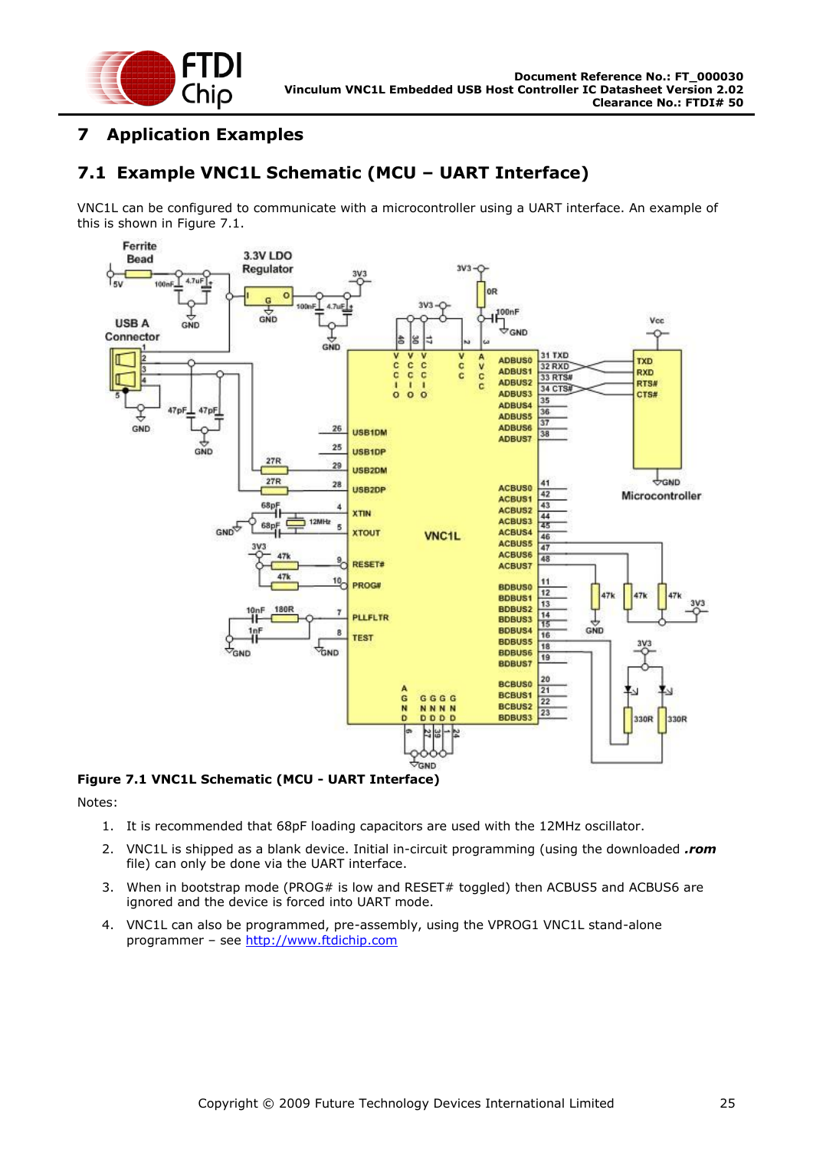

### <span id="page-24-0"></span>**7 Application Examples**

# <span id="page-24-1"></span>**7.1 Example VNC1L Schematic (MCU – UART Interface)**

VNC1L can be configured to communicate with a microcontroller using a UART interface. An example of this is shown in [Figure 7.1.](#page-24-2)



<span id="page-24-2"></span>**Figure 7.1 VNC1L Schematic (MCU - UART Interface)**

Notes:

- 1. It is recommended that 68pF loading capacitors are used with the 12MHz oscillator.
- 2. VNC1L is shipped as a blank device. Initial in-circuit programming (using the downloaded *.rom* file) can only be done via the UART interface.
- 3. When in bootstrap mode (PROG# is low and RESET# toggled) then ACBUS5 and ACBUS6 are ignored and the device is forced into UART mode.
- 4. VNC1L can also be programmed, pre-assembly, using the VPROG1 VNC1L stand-alone programmer – see [http://www.ftdichip.com](http://www.ftdichip.com/)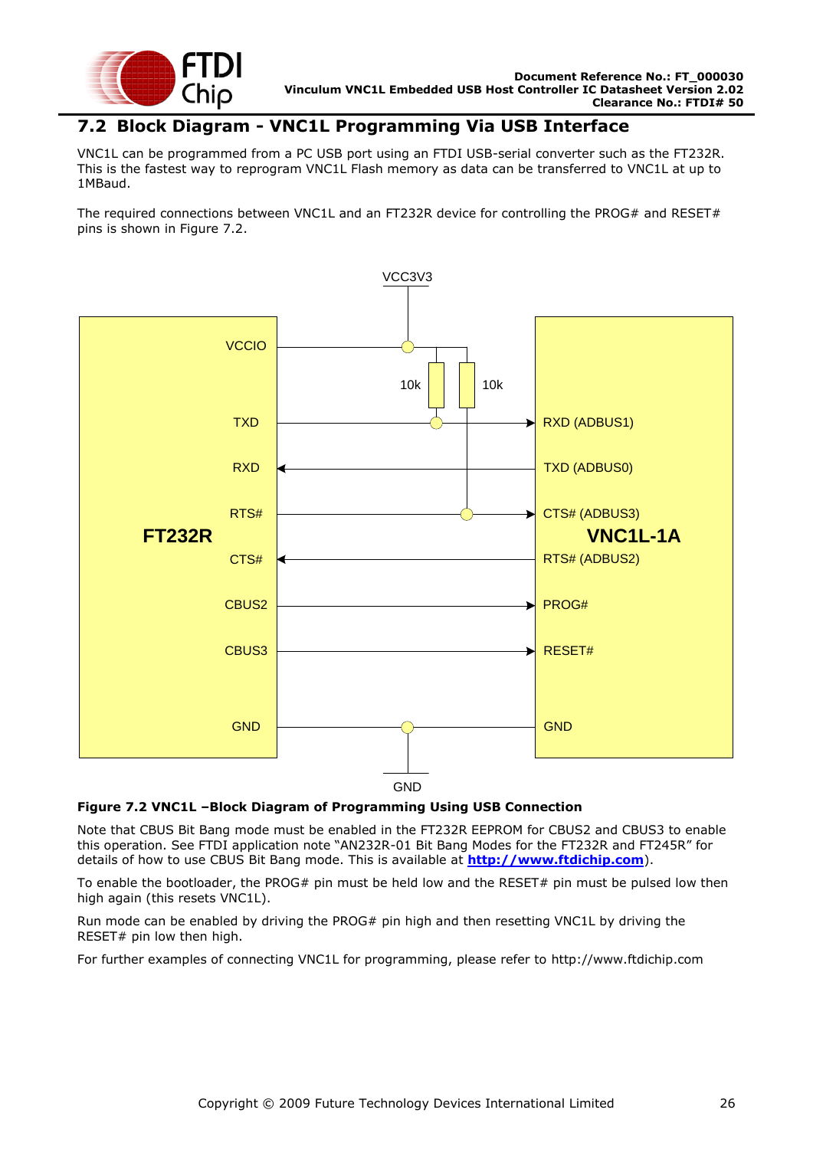

#### <span id="page-25-0"></span>**7.2 Block Diagram - VNC1L Programming Via USB Interface**

VNC1L can be programmed from a PC USB port using an FTDI USB-serial converter such as the FT232R. This is the fastest way to reprogram VNC1L Flash memory as data can be transferred to VNC1L at up to 1MBaud.

The required connections between VNC1L and an FT232R device for controlling the PROG# and RESET# pins is shown in [Figure 7.2.](#page-25-1)



GND

#### <span id="page-25-1"></span>**Figure 7.2 VNC1L –Block Diagram of Programming Using USB Connection**

Note that CBUS Bit Bang mode must be enabled in the FT232R EEPROM for CBUS2 and CBUS3 to enable this operation. See FTDI application note "AN232R-01 Bit Bang Modes for the FT232R and FT245R" for details of how to use CBUS Bit Bang mode. This is available at **[http://www.ftdichip.com](http://www.ftdichip.com/)**).

To enable the bootloader, the PROG# pin must be held low and the RESET# pin must be pulsed low then high again (this resets VNC1L).

Run mode can be enabled by driving the PROG# pin high and then resetting VNC1L by driving the RESET# pin low then high.

For further examples of connecting VNC1L for programming, please refer to http://www.ftdichip.com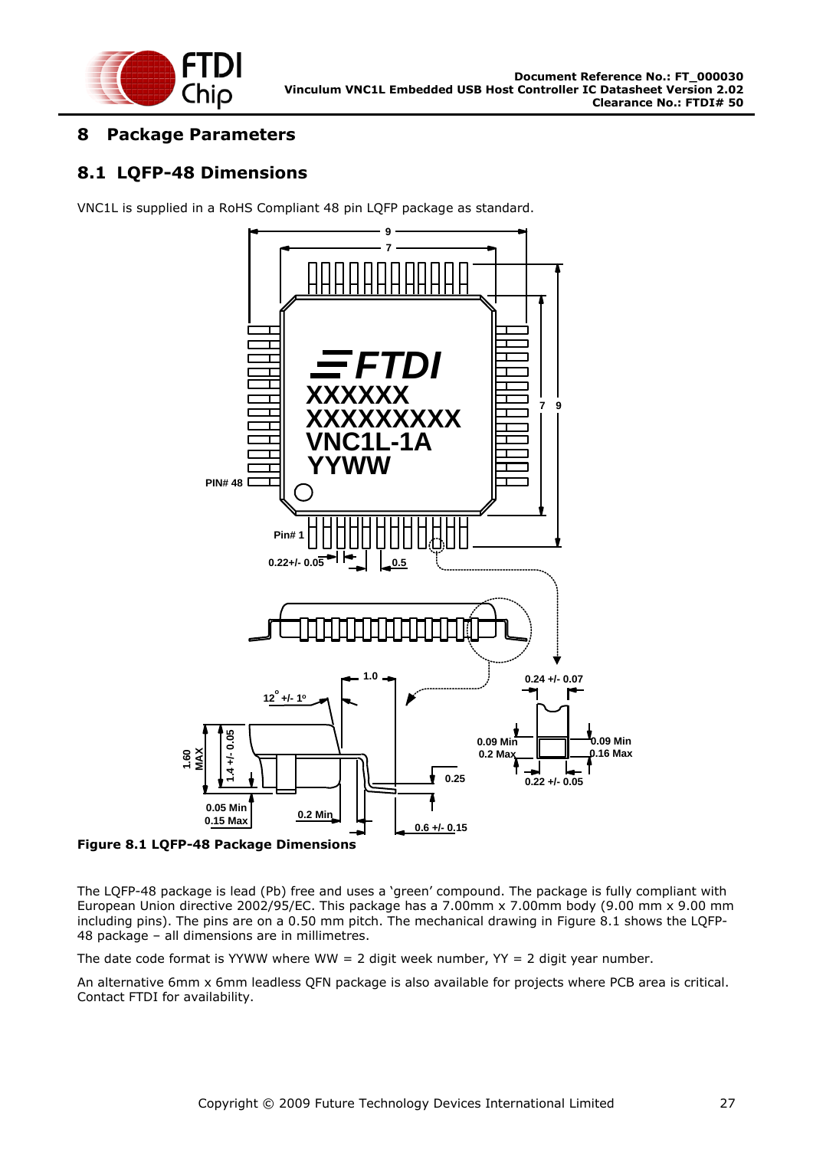

### <span id="page-26-0"></span>**8 Package Parameters**

### <span id="page-26-1"></span>**8.1 LQFP-48 Dimensions**

VNC1L is supplied in a RoHS Compliant 48 pin LQFP package as standard.



<span id="page-26-2"></span>**Figure 8.1 LQFP-48 Package Dimensions**

The LQFP-48 package is lead (Pb) free and uses a "green" compound. The package is fully compliant with European Union directive 2002/95/EC. This package has a 7.00mm x 7.00mm body (9.00 mm x 9.00 mm including pins). The pins are on a 0.50 mm pitch. The mechanical drawing in [Figure 8.1](#page-26-2) shows the LQFP-48 package – all dimensions are in millimetres.

The date code format is YYWW where WW = 2 digit week number,  $YY = 2$  digit year number.

An alternative 6mm x 6mm leadless QFN package is also available for projects where PCB area is critical. Contact FTDI for availability.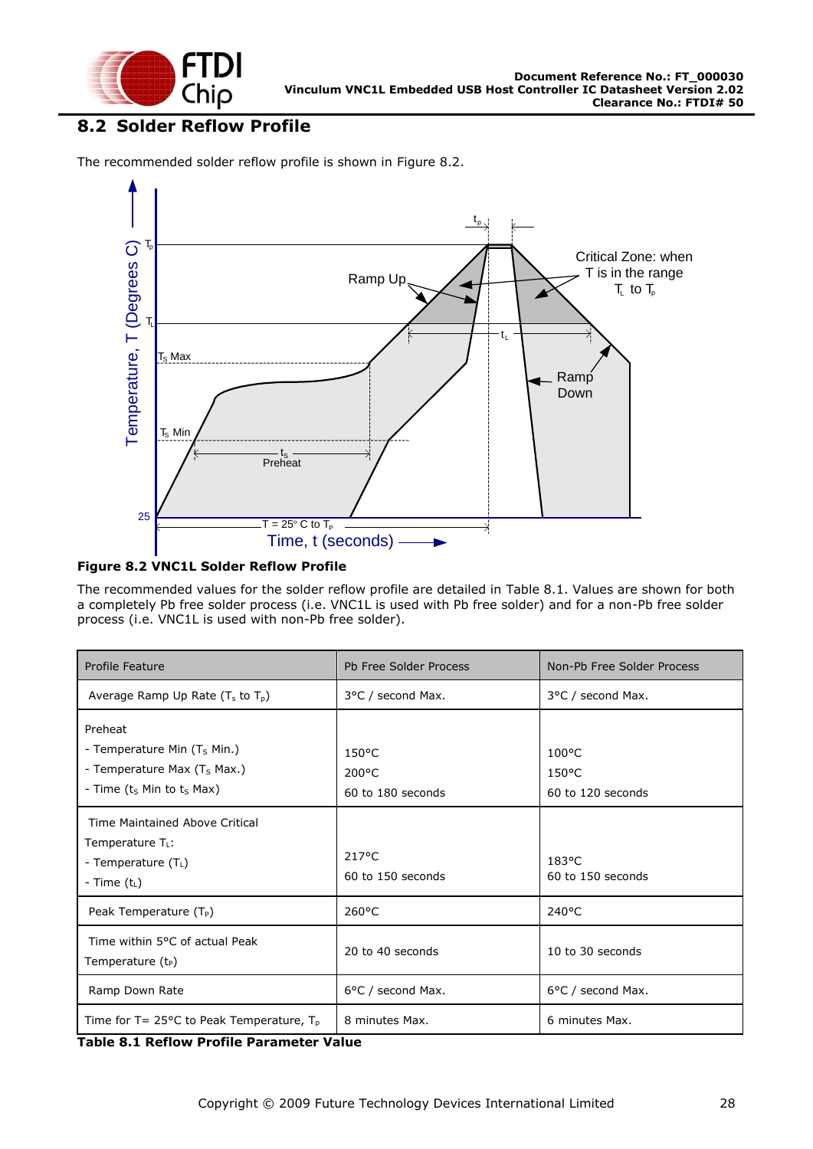

### <span id="page-27-0"></span>**8.2 Solder Reflow Profile**

The recommended solder reflow profile is shown in [Figure 8.2.](#page-27-1)



#### <span id="page-27-1"></span>**Figure 8.2 VNC1L Solder Reflow Profile**

The recommended values for the solder reflow profile are detailed in [Table 8.1.](#page-27-2) Values are shown for both a completely Pb free solder process (i.e. VNC1L is used with Pb free solder) and for a non-Pb free solder process (i.e. VNC1L is used with non-Pb free solder).

| Profile Feature                                                                                                                                    | Pb Free Solder Process                                  | Non-Pb Free Solder Process                              |
|----------------------------------------------------------------------------------------------------------------------------------------------------|---------------------------------------------------------|---------------------------------------------------------|
| Average Ramp Up Rate ( $T_s$ to $T_p$ )                                                                                                            | 3°C / second Max.                                       | 3°C / second Max.                                       |
| Preheat<br>- Temperature Min (T <sub>s</sub> Min.)<br>- Temperature Max (T <sub>S</sub> Max.)<br>- Time (t <sub>s</sub> Min to t <sub>s</sub> Max) | $150^{\circ}$ C<br>$200^{\circ}$ C<br>60 to 180 seconds | $100^{\circ}$ C<br>$150^{\circ}$ C<br>60 to 120 seconds |
| Time Maintained Above Critical<br>Temperature $T_L$ :<br>- Temperature (T <sub>L</sub> )<br>- Time $(t_L)$                                         | $217^{\circ}$ C<br>60 to 150 seconds                    | $183^{\circ}$ C<br>60 to 150 seconds                    |
| Peak Temperature $(T_P)$                                                                                                                           | $260^{\circ}$ C                                         | $240^{\circ}$ C                                         |
| Time within 5°C of actual Peak<br>Temperature $(t_P)$                                                                                              | 20 to 40 seconds                                        | 10 to 30 seconds                                        |
| Ramp Down Rate                                                                                                                                     | 6°C / second Max.                                       | 6°C / second Max.                                       |
| Time for $T = 25^{\circ}C$ to Peak Temperature, $T_p$                                                                                              | 8 minutes Max.                                          | 6 minutes Max.                                          |

<span id="page-27-2"></span>**Table 8.1 Reflow Profile Parameter Value**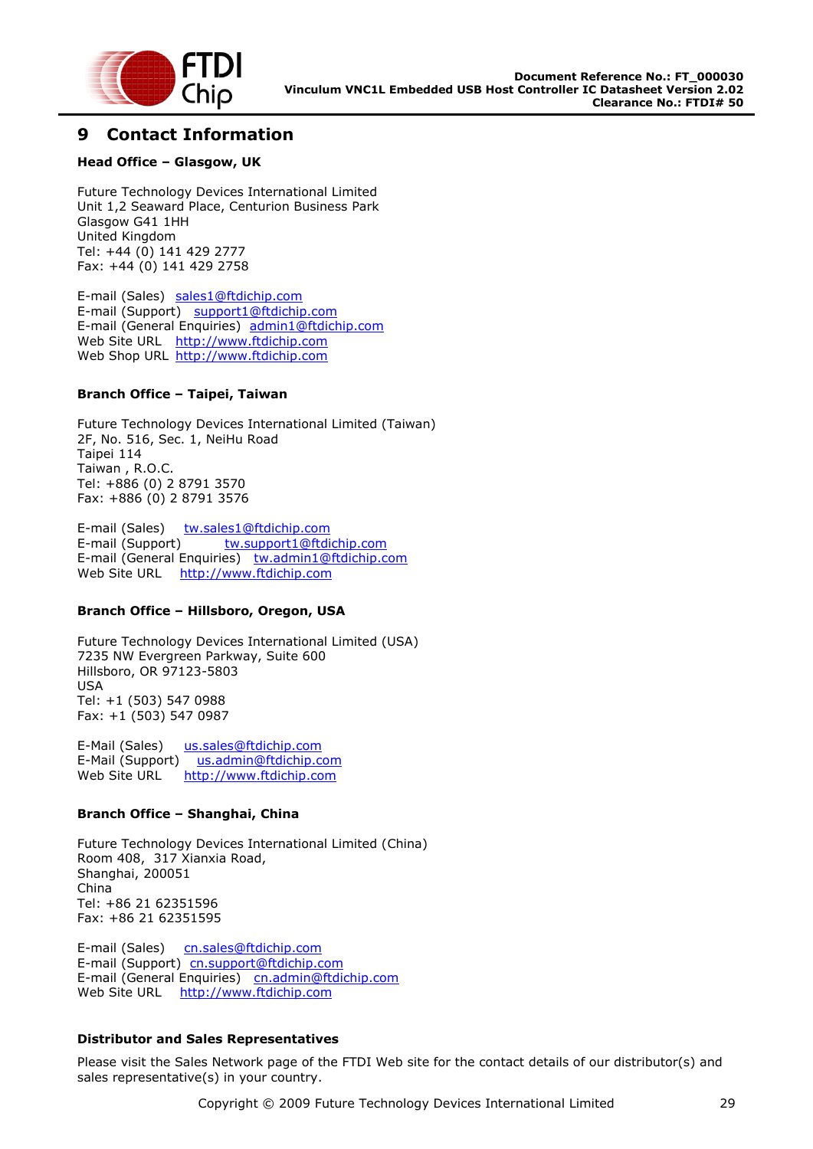

#### <span id="page-28-0"></span>**9 Contact Information**

#### **Head Office – Glasgow, UK**

Future Technology Devices International Limited Unit 1,2 Seaward Place, Centurion Business Park Glasgow G41 1HH United Kingdom Tel: +44 (0) 141 429 2777 Fax: +44 (0) 141 429 2758

E-mail (Sales) [sales1@ftdichip.com](mailto:sales1@ftdichip.com) E-mail (Support) [support1@ftdichip.com](mailto:support1@ftdichip.com) E-mail (General Enquiries) [admin1@ftdichip.com](mailto:admin1@ftdichip.com) Web Site URL [http://www.ftdichip.com](http://www.ftdichip.com/) Web Shop URL [http://www.ftdichip.com](http://www.ftdichip.com/)

#### **Branch Office – Taipei, Taiwan**

Future Technology Devices International Limited (Taiwan) 2F, No. 516, Sec. 1, NeiHu Road Taipei 114 Taiwan , R.O.C. Tel: +886 (0) 2 8791 3570 Fax: +886 (0) 2 8791 3576

E-mail (Sales) [tw.sales1@ftdichip.com](mailto:tw.sales1@ftdichip.com) E-mail (Support) [tw.support1@ftdichip.com](mailto:tw.support1@ftdichip.com) E-mail (General Enquiries) [tw.admin1@ftdichip.com](mailto:tw.admin1@ftdichip.com) Web Site URL [http://www.ftdichip.com](http://www.ftdichip.com/)

#### **Branch Office – Hillsboro, Oregon, USA**

Future Technology Devices International Limited (USA) 7235 NW Evergreen Parkway, Suite 600 Hillsboro, OR 97123-5803 USA Tel: +1 (503) 547 0988 Fax: +1 (503) 547 0987

E-Mail (Sales) [us.sales@ftdichip.com](mailto:us.sales@ftdichip.com) E-Mail (Support) [us.admin@ftdichip.com](mailto:us.admin@ftdichip.com) Web Site URL [http://www.ftdichip.com](http://www.ftdichip.com/)

#### **Branch Office – Shanghai, China**

Future Technology Devices International Limited (China) Room 408, 317 Xianxia Road, Shanghai, 200051 China Tel: +86 21 62351596 Fax: +86 21 62351595

E-mail (Sales) [cn.sales@ftdichip.com](mailto:cn.sales@ftdichip.com) E-mail (Support)[cn.support@ftdichip.com](mailto:cn.support@ftdichip.com) E-mail (General Enquiries) [cn.admin@ftdichip.com](mailto:cn.admin@ftdichip.com) Web Site URL [http://www.ftdichip.com](http://www.ftdichip.com/)

#### **Distributor and Sales Representatives**

Please visit the Sales Network page of the FTDI Web site for the contact details of our distributor(s) and sales representative(s) in your country.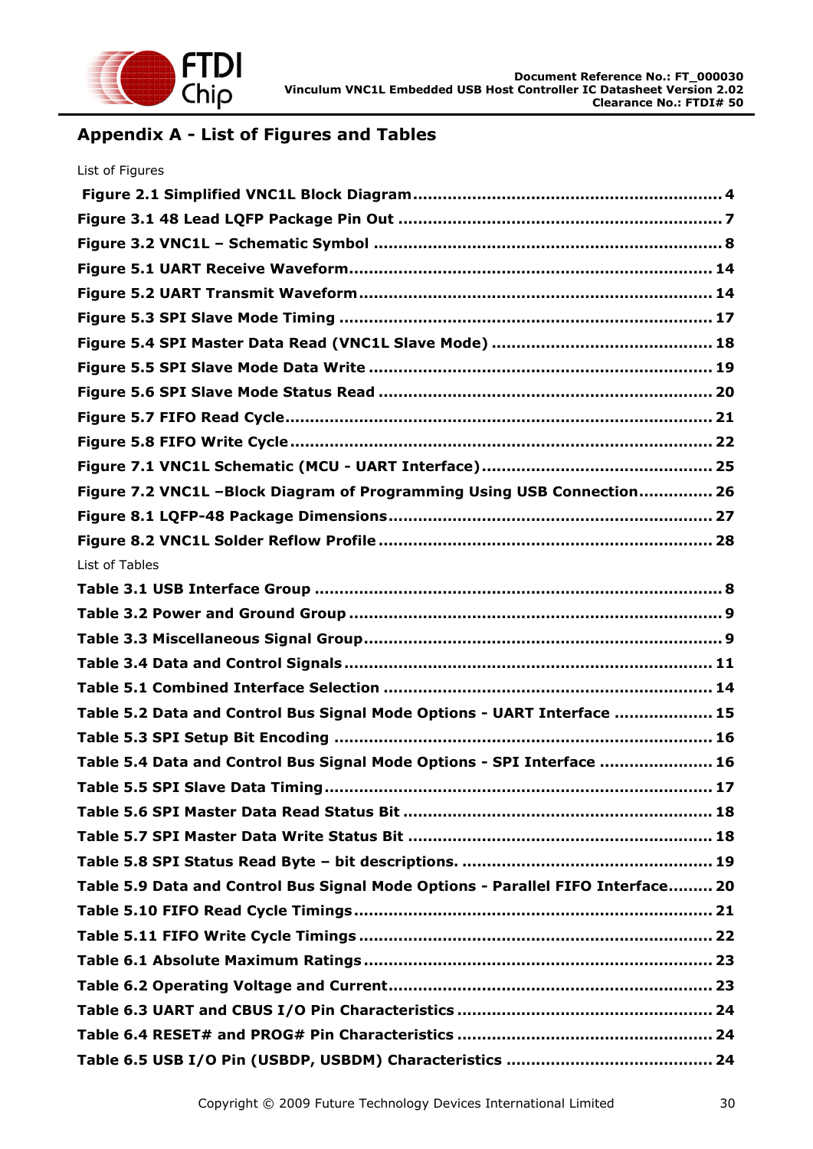

# <span id="page-29-0"></span>**Appendix A - List of Figures and Tables**

| List of Figures                                                                 |
|---------------------------------------------------------------------------------|
|                                                                                 |
|                                                                                 |
|                                                                                 |
|                                                                                 |
|                                                                                 |
|                                                                                 |
|                                                                                 |
|                                                                                 |
|                                                                                 |
|                                                                                 |
|                                                                                 |
|                                                                                 |
| Figure 7.2 VNC1L -Block Diagram of Programming Using USB Connection 26          |
|                                                                                 |
|                                                                                 |
| List of Tables                                                                  |
|                                                                                 |
|                                                                                 |
|                                                                                 |
|                                                                                 |
|                                                                                 |
| Table 5.2 Data and Control Bus Signal Mode Options - UART Interface  15         |
|                                                                                 |
| Table 5.4 Data and Control Bus Signal Mode Options - SPI Interface  16          |
|                                                                                 |
|                                                                                 |
|                                                                                 |
|                                                                                 |
| Table 5.9 Data and Control Bus Signal Mode Options - Parallel FIFO Interface 20 |
|                                                                                 |
|                                                                                 |
|                                                                                 |
|                                                                                 |
|                                                                                 |
|                                                                                 |
|                                                                                 |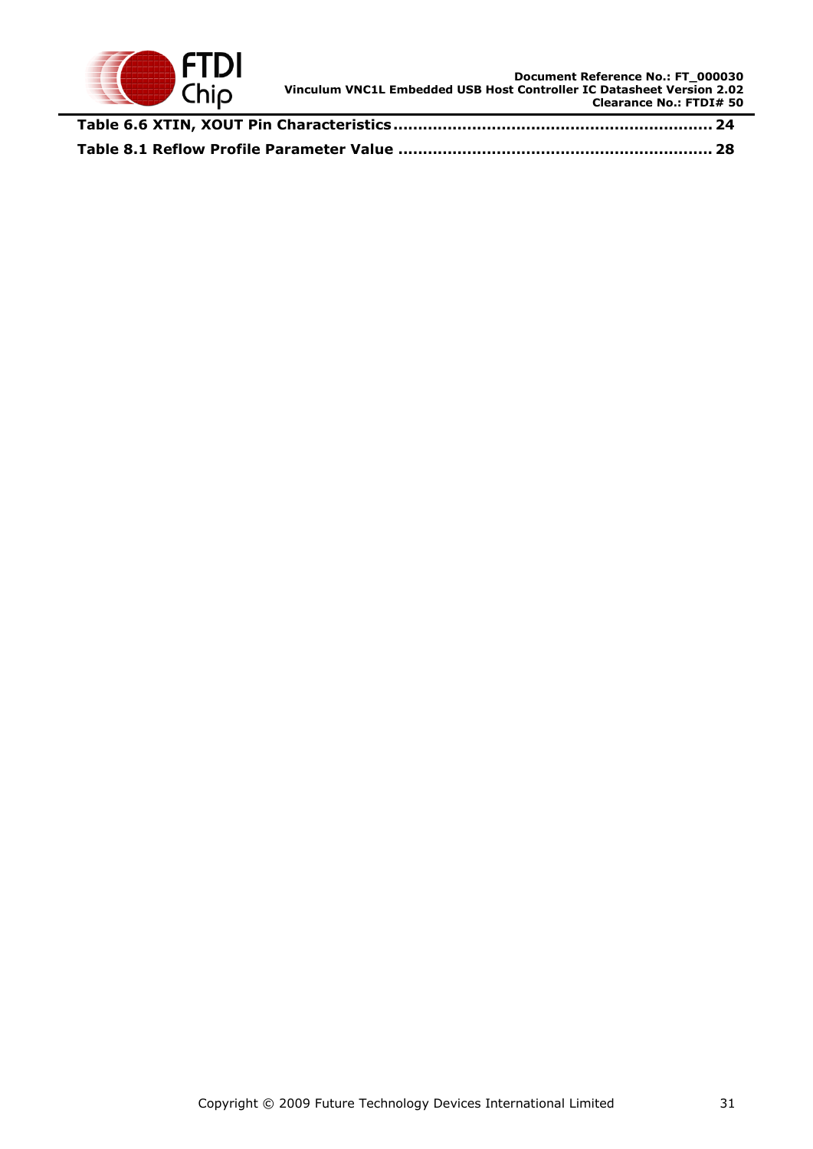